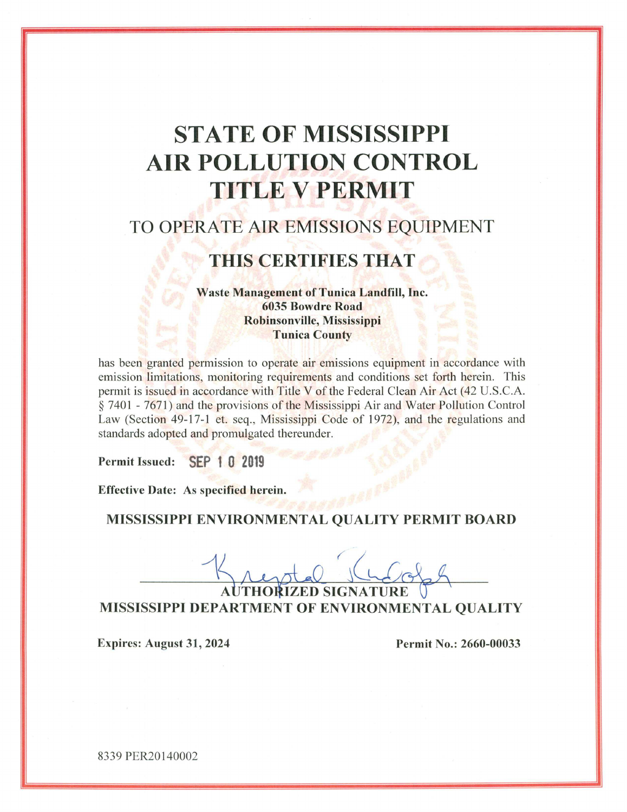# **STATE OF MISSISSIPPI AIR POLLUTION CONTROL TITLE V PERMIT**

## TO OPERATE AIR EMISSIONS EQUIPMENT

## THIS CERTIFIES THAT

**Waste Management of Tunica Landfill, Inc. 6035 Bowdre Road** Robinsonville, Mississippi **Tunica County** 

has been granted permission to operate air emissions equipment in accordance with emission limitations, monitoring requirements and conditions set forth herein. This permit is issued in accordance with Title V of the Federal Clean Air Act (42 U.S.C.A. § 7401 - 7671) and the provisions of the Mississippi Air and Water Pollution Control Law (Section 49-17-1 et. seg., Mississippi Code of 1972), and the regulations and standards adopted and promulgated thereunder.

Permit Issued: SEP 1 0 2019

**Effective Date: As specified herein.** 

#### MISSISSIPPI ENVIRONMENTAL QUALITY PERMIT BOARD

**AUTHORIZED SIGNATURE** MISSISSIPPI DEPARTMENT OF ENVIRONMENTAL QUALITY

**Expires: August 31, 2024** 

Permit No.: 2660-00033

8339 PER20140002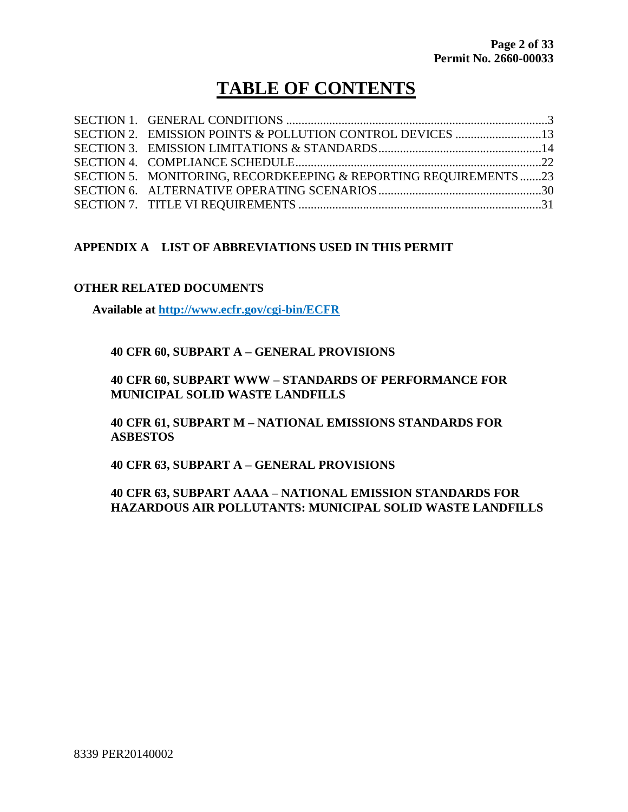## **TABLE OF CONTENTS**

| SECTION 5. MONITORING, RECORDKEEPING & REPORTING REQUIREMENTS23 |  |
|-----------------------------------------------------------------|--|
|                                                                 |  |
|                                                                 |  |

#### **APPENDIX A LIST OF ABBREVIATIONS USED IN THIS PERMIT**

#### **OTHER RELATED DOCUMENTS**

**Available at http://www.ecfr.gov/cgi-bin/ECFR**

#### **40 CFR 60, SUBPART A – GENERAL PROVISIONS**

#### **40 CFR 60, SUBPART WWW – STANDARDS OF PERFORMANCE FOR MUNICIPAL SOLID WASTE LANDFILLS**

**40 CFR 61, SUBPART M – NATIONAL EMISSIONS STANDARDS FOR ASBESTOS**

**40 CFR 63, SUBPART A – GENERAL PROVISIONS**

#### **40 CFR 63, SUBPART AAAA – NATIONAL EMISSION STANDARDS FOR HAZARDOUS AIR POLLUTANTS: MUNICIPAL SOLID WASTE LANDFILLS**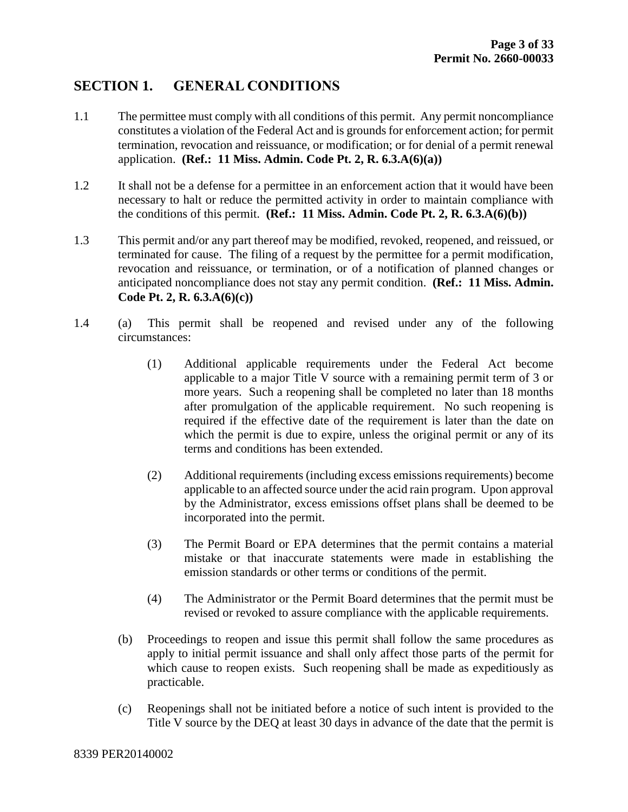## **SECTION 1. GENERAL CONDITIONS**

- 1.1 The permittee must comply with all conditions of this permit. Any permit noncompliance constitutes a violation of the Federal Act and is grounds for enforcement action; for permit termination, revocation and reissuance, or modification; or for denial of a permit renewal application. **(Ref.: 11 Miss. Admin. Code Pt. 2, R. 6.3.A(6)(a))**
- 1.2 It shall not be a defense for a permittee in an enforcement action that it would have been necessary to halt or reduce the permitted activity in order to maintain compliance with the conditions of this permit. **(Ref.: 11 Miss. Admin. Code Pt. 2, R. 6.3.** $A(6)(b)$ )
- 1.3 This permit and/or any part thereof may be modified, revoked, reopened, and reissued, or terminated for cause. The filing of a request by the permittee for a permit modification, revocation and reissuance, or termination, or of a notification of planned changes or anticipated noncompliance does not stay any permit condition. **(Ref.: 11 Miss. Admin. Code Pt. 2, R. 6.3.A(6)(c))**
- 1.4 (a) This permit shall be reopened and revised under any of the following circumstances:
	- (1) Additional applicable requirements under the Federal Act become applicable to a major Title V source with a remaining permit term of 3 or more years. Such a reopening shall be completed no later than 18 months after promulgation of the applicable requirement. No such reopening is required if the effective date of the requirement is later than the date on which the permit is due to expire, unless the original permit or any of its terms and conditions has been extended.
	- (2) Additional requirements (including excess emissions requirements) become applicable to an affected source under the acid rain program. Upon approval by the Administrator, excess emissions offset plans shall be deemed to be incorporated into the permit.
	- (3) The Permit Board or EPA determines that the permit contains a material mistake or that inaccurate statements were made in establishing the emission standards or other terms or conditions of the permit.
	- (4) The Administrator or the Permit Board determines that the permit must be revised or revoked to assure compliance with the applicable requirements.
	- (b) Proceedings to reopen and issue this permit shall follow the same procedures as apply to initial permit issuance and shall only affect those parts of the permit for which cause to reopen exists. Such reopening shall be made as expeditiously as practicable.
	- (c) Reopenings shall not be initiated before a notice of such intent is provided to the Title V source by the DEQ at least 30 days in advance of the date that the permit is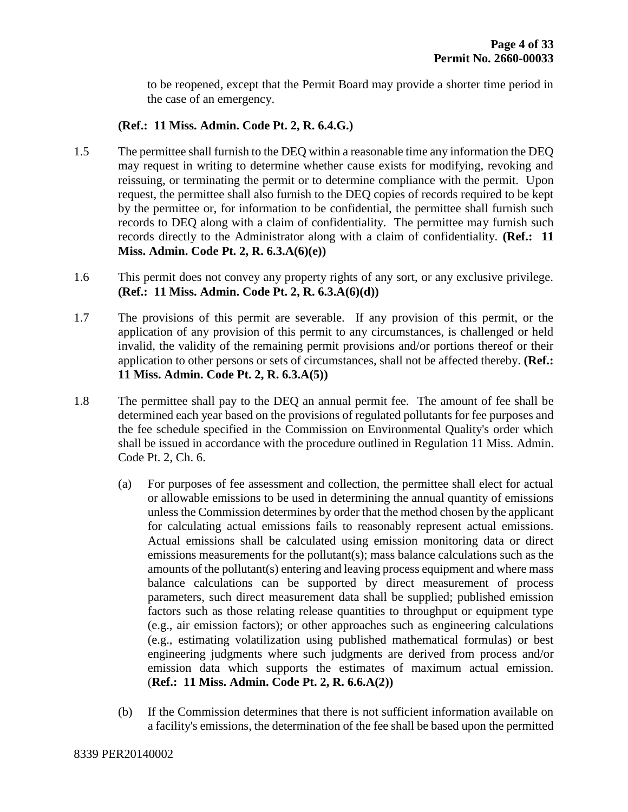to be reopened, except that the Permit Board may provide a shorter time period in the case of an emergency.

#### **(Ref.: 11 Miss. Admin. Code Pt. 2, R. 6.4.G.)**

- 1.5 The permittee shall furnish to the DEQ within a reasonable time any information the DEQ may request in writing to determine whether cause exists for modifying, revoking and reissuing, or terminating the permit or to determine compliance with the permit. Upon request, the permittee shall also furnish to the DEQ copies of records required to be kept by the permittee or, for information to be confidential, the permittee shall furnish such records to DEQ along with a claim of confidentiality. The permittee may furnish such records directly to the Administrator along with a claim of confidentiality. **(Ref.: 11 Miss. Admin. Code Pt. 2, R. 6.3.A(6)(e))**
- 1.6 This permit does not convey any property rights of any sort, or any exclusive privilege. **(Ref.: 11 Miss. Admin. Code Pt. 2, R. 6.3.A(6)(d))**
- 1.7 The provisions of this permit are severable. If any provision of this permit, or the application of any provision of this permit to any circumstances, is challenged or held invalid, the validity of the remaining permit provisions and/or portions thereof or their application to other persons or sets of circumstances, shall not be affected thereby. **(Ref.: 11 Miss. Admin. Code Pt. 2, R. 6.3.A(5))**
- 1.8 The permittee shall pay to the DEQ an annual permit fee. The amount of fee shall be determined each year based on the provisions of regulated pollutants for fee purposes and the fee schedule specified in the Commission on Environmental Quality's order which shall be issued in accordance with the procedure outlined in Regulation 11 Miss. Admin. Code Pt. 2, Ch. 6.
	- (a) For purposes of fee assessment and collection, the permittee shall elect for actual or allowable emissions to be used in determining the annual quantity of emissions unless the Commission determines by order that the method chosen by the applicant for calculating actual emissions fails to reasonably represent actual emissions. Actual emissions shall be calculated using emission monitoring data or direct emissions measurements for the pollutant(s); mass balance calculations such as the amounts of the pollutant(s) entering and leaving process equipment and where mass balance calculations can be supported by direct measurement of process parameters, such direct measurement data shall be supplied; published emission factors such as those relating release quantities to throughput or equipment type (e.g., air emission factors); or other approaches such as engineering calculations (e.g., estimating volatilization using published mathematical formulas) or best engineering judgments where such judgments are derived from process and/or emission data which supports the estimates of maximum actual emission. (**Ref.: 11 Miss. Admin. Code Pt. 2, R. 6.6.A(2))**
	- (b) If the Commission determines that there is not sufficient information available on a facility's emissions, the determination of the fee shall be based upon the permitted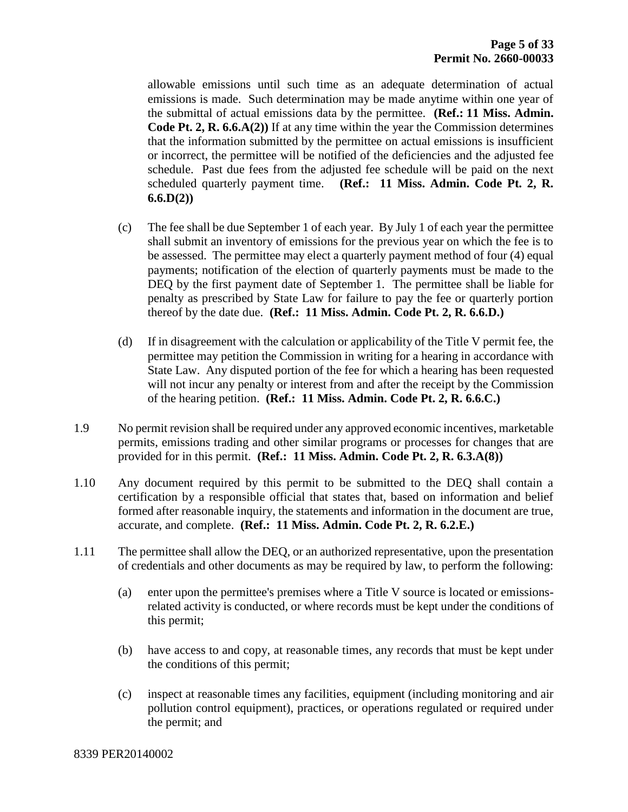allowable emissions until such time as an adequate determination of actual emissions is made. Such determination may be made anytime within one year of the submittal of actual emissions data by the permittee. **(Ref.: 11 Miss. Admin. Code Pt. 2, R. 6.6.A(2))** If at any time within the year the Commission determines that the information submitted by the permittee on actual emissions is insufficient or incorrect, the permittee will be notified of the deficiencies and the adjusted fee schedule. Past due fees from the adjusted fee schedule will be paid on the next scheduled quarterly payment time. **(Ref.: 11 Miss. Admin. Code Pt. 2, R. 6.6.D(2))**

- (c) The fee shall be due September 1 of each year. By July 1 of each year the permittee shall submit an inventory of emissions for the previous year on which the fee is to be assessed. The permittee may elect a quarterly payment method of four (4) equal payments; notification of the election of quarterly payments must be made to the DEQ by the first payment date of September 1. The permittee shall be liable for penalty as prescribed by State Law for failure to pay the fee or quarterly portion thereof by the date due. **(Ref.: 11 Miss. Admin. Code Pt. 2, R. 6.6.D.)**
- (d) If in disagreement with the calculation or applicability of the Title V permit fee, the permittee may petition the Commission in writing for a hearing in accordance with State Law. Any disputed portion of the fee for which a hearing has been requested will not incur any penalty or interest from and after the receipt by the Commission of the hearing petition. **(Ref.: 11 Miss. Admin. Code Pt. 2, R. 6.6.C.)**
- 1.9 No permit revision shall be required under any approved economic incentives, marketable permits, emissions trading and other similar programs or processes for changes that are provided for in this permit. **(Ref.: 11 Miss. Admin. Code Pt. 2, R. 6.3.A(8))**
- 1.10 Any document required by this permit to be submitted to the DEQ shall contain a certification by a responsible official that states that, based on information and belief formed after reasonable inquiry, the statements and information in the document are true, accurate, and complete. **(Ref.: 11 Miss. Admin. Code Pt. 2, R. 6.2.E.)**
- 1.11 The permittee shall allow the DEQ, or an authorized representative, upon the presentation of credentials and other documents as may be required by law, to perform the following:
	- (a) enter upon the permittee's premises where a Title V source is located or emissionsrelated activity is conducted, or where records must be kept under the conditions of this permit;
	- (b) have access to and copy, at reasonable times, any records that must be kept under the conditions of this permit;
	- (c) inspect at reasonable times any facilities, equipment (including monitoring and air pollution control equipment), practices, or operations regulated or required under the permit; and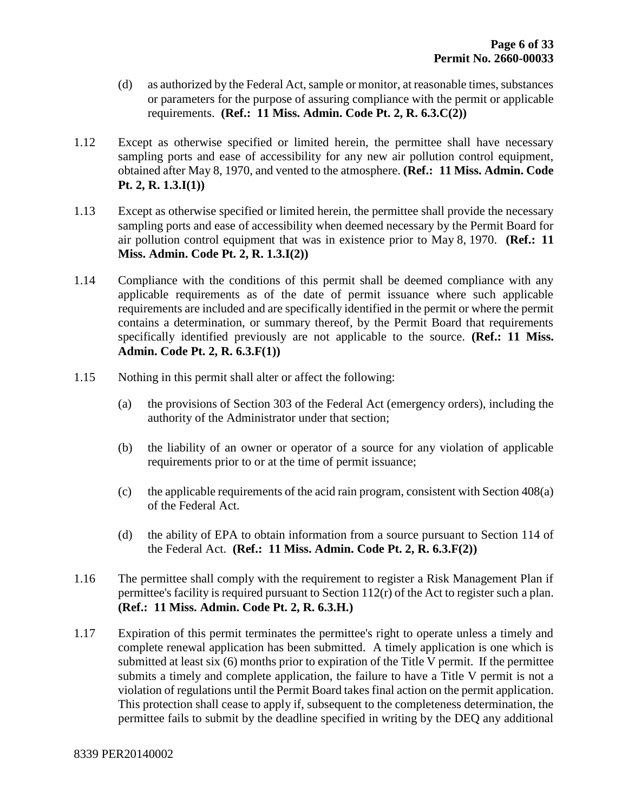- (d) as authorized by the Federal Act, sample or monitor, at reasonable times, substances or parameters for the purpose of assuring compliance with the permit or applicable requirements. **(Ref.: 11 Miss. Admin. Code Pt. 2, R. 6.3.C(2))**
- 1.12 Except as otherwise specified or limited herein, the permittee shall have necessary sampling ports and ease of accessibility for any new air pollution control equipment, obtained after May 8, 1970, and vented to the atmosphere. **(Ref.: 11 Miss. Admin. Code Pt. 2, R. 1.3.I(1))**
- 1.13 Except as otherwise specified or limited herein, the permittee shall provide the necessary sampling ports and ease of accessibility when deemed necessary by the Permit Board for air pollution control equipment that was in existence prior to May 8, 1970. **(Ref.: 11 Miss. Admin. Code Pt. 2, R. 1.3.I(2))**
- 1.14 Compliance with the conditions of this permit shall be deemed compliance with any applicable requirements as of the date of permit issuance where such applicable requirements are included and are specifically identified in the permit or where the permit contains a determination, or summary thereof, by the Permit Board that requirements specifically identified previously are not applicable to the source. **(Ref.: 11 Miss. Admin. Code Pt. 2, R. 6.3.F(1))**
- 1.15 Nothing in this permit shall alter or affect the following:
	- (a) the provisions of Section 303 of the Federal Act (emergency orders), including the authority of the Administrator under that section;
	- (b) the liability of an owner or operator of a source for any violation of applicable requirements prior to or at the time of permit issuance;
	- (c) the applicable requirements of the acid rain program, consistent with Section 408(a) of the Federal Act.
	- (d) the ability of EPA to obtain information from a source pursuant to Section 114 of the Federal Act. **(Ref.: 11 Miss. Admin. Code Pt. 2, R. 6.3.F(2))**
- 1.16 The permittee shall comply with the requirement to register a Risk Management Plan if permittee's facility is required pursuant to Section 112(r) of the Act to register such a plan. **(Ref.: 11 Miss. Admin. Code Pt. 2, R. 6.3.H.)**
- 1.17 Expiration of this permit terminates the permittee's right to operate unless a timely and complete renewal application has been submitted. A timely application is one which is submitted at least six (6) months prior to expiration of the Title V permit. If the permittee submits a timely and complete application, the failure to have a Title V permit is not a violation of regulations until the Permit Board takes final action on the permit application. This protection shall cease to apply if, subsequent to the completeness determination, the permittee fails to submit by the deadline specified in writing by the DEQ any additional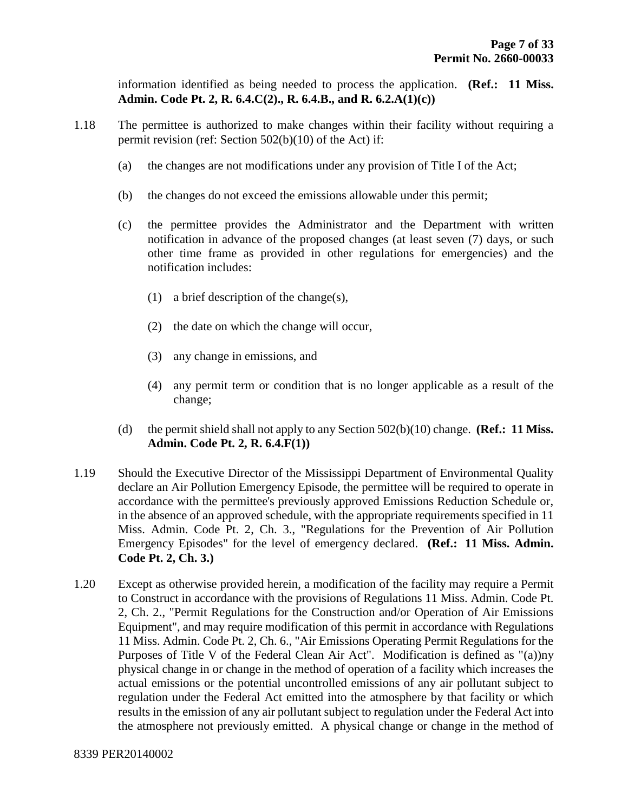information identified as being needed to process the application. **(Ref.: 11 Miss. Admin. Code Pt. 2, R. 6.4.C(2)., R. 6.4.B., and R. 6.2.A(1)(c))**

- 1.18 The permittee is authorized to make changes within their facility without requiring a permit revision (ref: Section 502(b)(10) of the Act) if:
	- (a) the changes are not modifications under any provision of Title I of the Act;
	- (b) the changes do not exceed the emissions allowable under this permit;
	- (c) the permittee provides the Administrator and the Department with written notification in advance of the proposed changes (at least seven (7) days, or such other time frame as provided in other regulations for emergencies) and the notification includes:
		- (1) a brief description of the change(s),
		- (2) the date on which the change will occur,
		- (3) any change in emissions, and
		- (4) any permit term or condition that is no longer applicable as a result of the change;
	- (d) the permit shield shall not apply to any Section 502(b)(10) change. **(Ref.: 11 Miss. Admin. Code Pt. 2, R. 6.4.F(1))**
- 1.19 Should the Executive Director of the Mississippi Department of Environmental Quality declare an Air Pollution Emergency Episode, the permittee will be required to operate in accordance with the permittee's previously approved Emissions Reduction Schedule or, in the absence of an approved schedule, with the appropriate requirements specified in 11 Miss. Admin. Code Pt. 2, Ch. 3., "Regulations for the Prevention of Air Pollution Emergency Episodes" for the level of emergency declared. **(Ref.: 11 Miss. Admin. Code Pt. 2, Ch. 3.)**
- 1.20 Except as otherwise provided herein, a modification of the facility may require a Permit to Construct in accordance with the provisions of Regulations 11 Miss. Admin. Code Pt. 2, Ch. 2., "Permit Regulations for the Construction and/or Operation of Air Emissions Equipment", and may require modification of this permit in accordance with Regulations 11 Miss. Admin. Code Pt. 2, Ch. 6., "Air Emissions Operating Permit Regulations for the Purposes of Title V of the Federal Clean Air Act". Modification is defined as "(a))ny physical change in or change in the method of operation of a facility which increases the actual emissions or the potential uncontrolled emissions of any air pollutant subject to regulation under the Federal Act emitted into the atmosphere by that facility or which results in the emission of any air pollutant subject to regulation under the Federal Act into the atmosphere not previously emitted. A physical change or change in the method of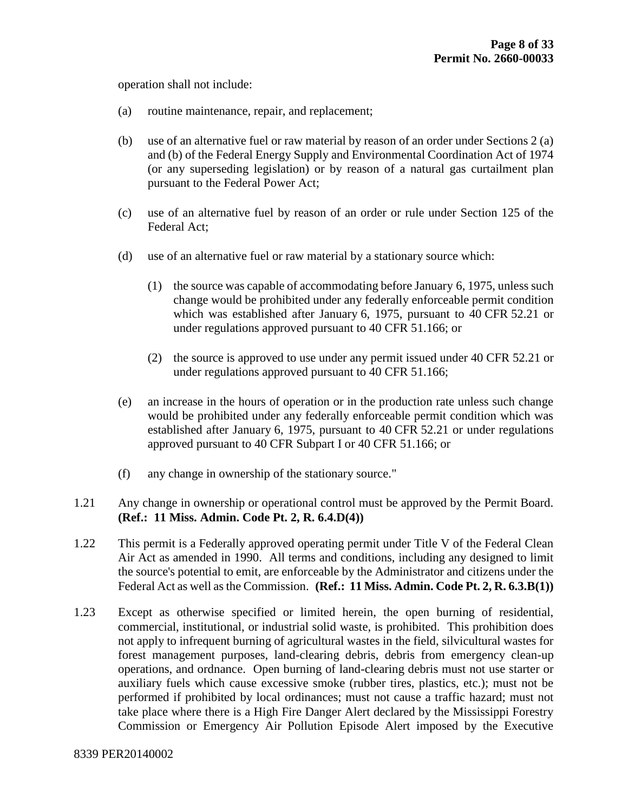operation shall not include:

- (a) routine maintenance, repair, and replacement;
- (b) use of an alternative fuel or raw material by reason of an order under Sections 2 (a) and (b) of the Federal Energy Supply and Environmental Coordination Act of 1974 (or any superseding legislation) or by reason of a natural gas curtailment plan pursuant to the Federal Power Act;
- (c) use of an alternative fuel by reason of an order or rule under Section 125 of the Federal Act;
- (d) use of an alternative fuel or raw material by a stationary source which:
	- (1) the source was capable of accommodating before January 6, 1975, unless such change would be prohibited under any federally enforceable permit condition which was established after January 6, 1975, pursuant to 40 CFR 52.21 or under regulations approved pursuant to 40 CFR 51.166; or
	- (2) the source is approved to use under any permit issued under 40 CFR 52.21 or under regulations approved pursuant to 40 CFR 51.166;
- (e) an increase in the hours of operation or in the production rate unless such change would be prohibited under any federally enforceable permit condition which was established after January 6, 1975, pursuant to 40 CFR 52.21 or under regulations approved pursuant to 40 CFR Subpart I or 40 CFR 51.166; or
- (f) any change in ownership of the stationary source."

#### 1.21 Any change in ownership or operational control must be approved by the Permit Board. **(Ref.: 11 Miss. Admin. Code Pt. 2, R. 6.4.D(4))**

- 1.22 This permit is a Federally approved operating permit under Title V of the Federal Clean Air Act as amended in 1990. All terms and conditions, including any designed to limit the source's potential to emit, are enforceable by the Administrator and citizens under the Federal Act as well as the Commission. **(Ref.: 11 Miss. Admin. Code Pt. 2, R. 6.3.B(1))**
- 1.23 Except as otherwise specified or limited herein, the open burning of residential, commercial, institutional, or industrial solid waste, is prohibited. This prohibition does not apply to infrequent burning of agricultural wastes in the field, silvicultural wastes for forest management purposes, land-clearing debris, debris from emergency clean-up operations, and ordnance. Open burning of land-clearing debris must not use starter or auxiliary fuels which cause excessive smoke (rubber tires, plastics, etc.); must not be performed if prohibited by local ordinances; must not cause a traffic hazard; must not take place where there is a High Fire Danger Alert declared by the Mississippi Forestry Commission or Emergency Air Pollution Episode Alert imposed by the Executive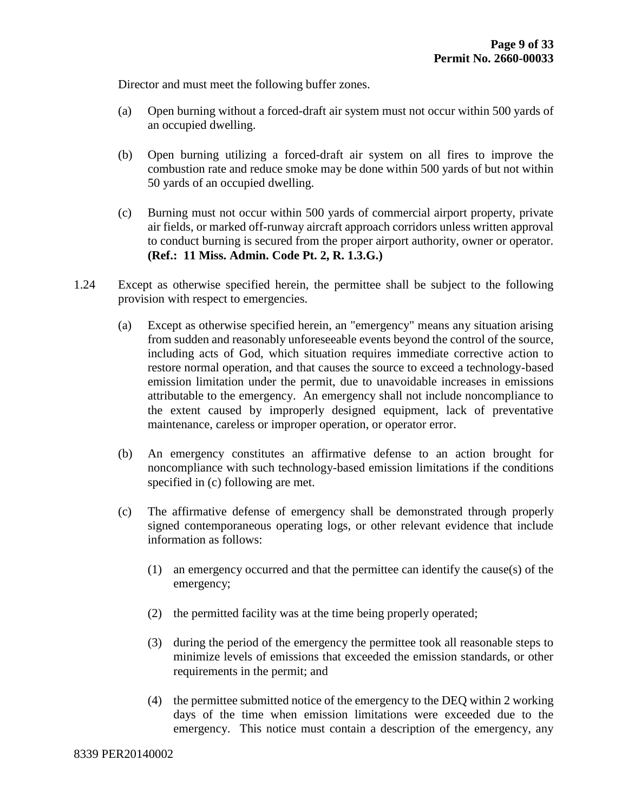Director and must meet the following buffer zones.

- (a) Open burning without a forced-draft air system must not occur within 500 yards of an occupied dwelling.
- (b) Open burning utilizing a forced-draft air system on all fires to improve the combustion rate and reduce smoke may be done within 500 yards of but not within 50 yards of an occupied dwelling.
- (c) Burning must not occur within 500 yards of commercial airport property, private air fields, or marked off-runway aircraft approach corridors unless written approval to conduct burning is secured from the proper airport authority, owner or operator. **(Ref.: 11 Miss. Admin. Code Pt. 2, R. 1.3.G.)**
- 1.24 Except as otherwise specified herein, the permittee shall be subject to the following provision with respect to emergencies.
	- (a) Except as otherwise specified herein, an "emergency" means any situation arising from sudden and reasonably unforeseeable events beyond the control of the source, including acts of God, which situation requires immediate corrective action to restore normal operation, and that causes the source to exceed a technology-based emission limitation under the permit, due to unavoidable increases in emissions attributable to the emergency. An emergency shall not include noncompliance to the extent caused by improperly designed equipment, lack of preventative maintenance, careless or improper operation, or operator error.
	- (b) An emergency constitutes an affirmative defense to an action brought for noncompliance with such technology-based emission limitations if the conditions specified in (c) following are met.
	- (c) The affirmative defense of emergency shall be demonstrated through properly signed contemporaneous operating logs, or other relevant evidence that include information as follows:
		- (1) an emergency occurred and that the permittee can identify the cause(s) of the emergency;
		- (2) the permitted facility was at the time being properly operated;
		- (3) during the period of the emergency the permittee took all reasonable steps to minimize levels of emissions that exceeded the emission standards, or other requirements in the permit; and
		- (4) the permittee submitted notice of the emergency to the DEQ within 2 working days of the time when emission limitations were exceeded due to the emergency. This notice must contain a description of the emergency, any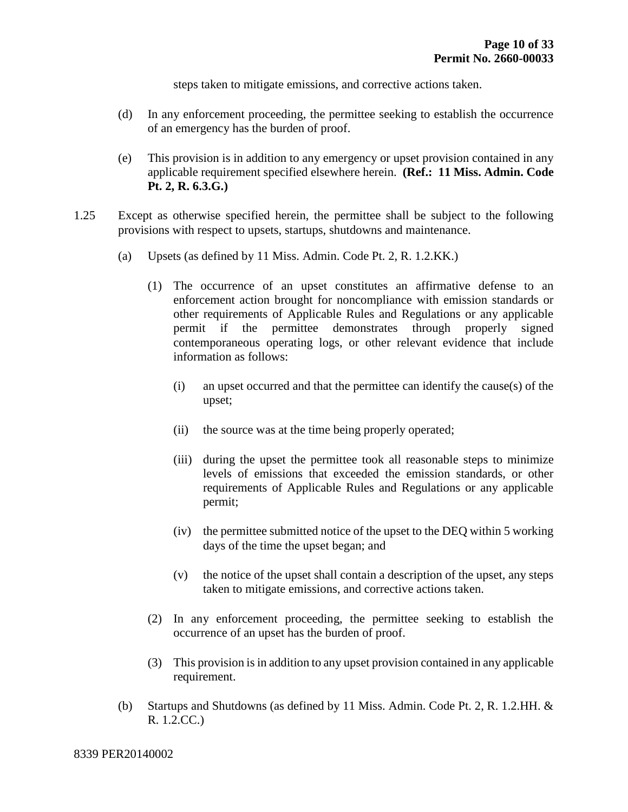steps taken to mitigate emissions, and corrective actions taken.

- (d) In any enforcement proceeding, the permittee seeking to establish the occurrence of an emergency has the burden of proof.
- (e) This provision is in addition to any emergency or upset provision contained in any applicable requirement specified elsewhere herein. **(Ref.: 11 Miss. Admin. Code Pt. 2, R. 6.3.G.)**
- 1.25 Except as otherwise specified herein, the permittee shall be subject to the following provisions with respect to upsets, startups, shutdowns and maintenance.
	- (a) Upsets (as defined by 11 Miss. Admin. Code Pt. 2, R. 1.2.KK.)
		- (1) The occurrence of an upset constitutes an affirmative defense to an enforcement action brought for noncompliance with emission standards or other requirements of Applicable Rules and Regulations or any applicable permit if the permittee demonstrates through properly signed contemporaneous operating logs, or other relevant evidence that include information as follows:
			- (i) an upset occurred and that the permittee can identify the cause(s) of the upset;
			- (ii) the source was at the time being properly operated;
			- (iii) during the upset the permittee took all reasonable steps to minimize levels of emissions that exceeded the emission standards, or other requirements of Applicable Rules and Regulations or any applicable permit;
			- (iv) the permittee submitted notice of the upset to the DEQ within 5 working days of the time the upset began; and
			- (v) the notice of the upset shall contain a description of the upset, any steps taken to mitigate emissions, and corrective actions taken.
		- (2) In any enforcement proceeding, the permittee seeking to establish the occurrence of an upset has the burden of proof.
		- (3) This provision is in addition to any upset provision contained in any applicable requirement.
	- (b) Startups and Shutdowns (as defined by 11 Miss. Admin. Code Pt. 2, R. 1.2.HH. & R. 1.2.CC.)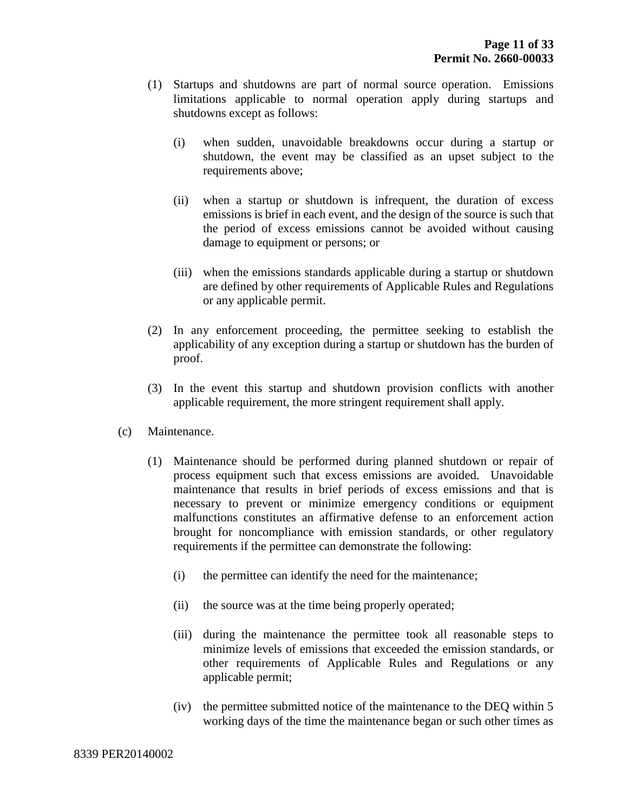- (1) Startups and shutdowns are part of normal source operation. Emissions limitations applicable to normal operation apply during startups and shutdowns except as follows:
	- (i) when sudden, unavoidable breakdowns occur during a startup or shutdown, the event may be classified as an upset subject to the requirements above;
	- (ii) when a startup or shutdown is infrequent, the duration of excess emissions is brief in each event, and the design of the source is such that the period of excess emissions cannot be avoided without causing damage to equipment or persons; or
	- (iii) when the emissions standards applicable during a startup or shutdown are defined by other requirements of Applicable Rules and Regulations or any applicable permit.
- (2) In any enforcement proceeding, the permittee seeking to establish the applicability of any exception during a startup or shutdown has the burden of proof.
- (3) In the event this startup and shutdown provision conflicts with another applicable requirement, the more stringent requirement shall apply.
- (c) Maintenance.
	- (1) Maintenance should be performed during planned shutdown or repair of process equipment such that excess emissions are avoided. Unavoidable maintenance that results in brief periods of excess emissions and that is necessary to prevent or minimize emergency conditions or equipment malfunctions constitutes an affirmative defense to an enforcement action brought for noncompliance with emission standards, or other regulatory requirements if the permittee can demonstrate the following:
		- (i) the permittee can identify the need for the maintenance;
		- (ii) the source was at the time being properly operated;
		- (iii) during the maintenance the permittee took all reasonable steps to minimize levels of emissions that exceeded the emission standards, or other requirements of Applicable Rules and Regulations or any applicable permit;
		- (iv) the permittee submitted notice of the maintenance to the DEQ within 5 working days of the time the maintenance began or such other times as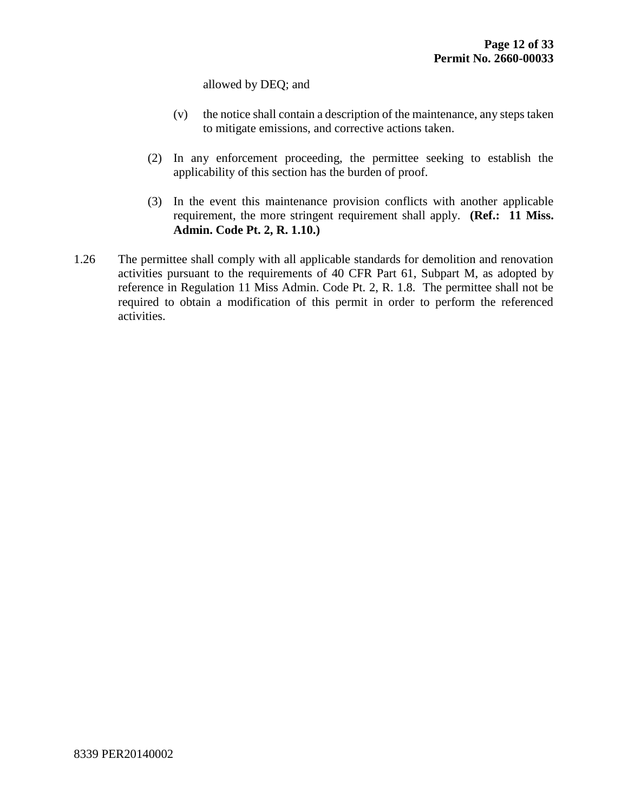allowed by DEQ; and

- (v) the notice shall contain a description of the maintenance, any steps taken to mitigate emissions, and corrective actions taken.
- (2) In any enforcement proceeding, the permittee seeking to establish the applicability of this section has the burden of proof.
- (3) In the event this maintenance provision conflicts with another applicable requirement, the more stringent requirement shall apply. **(Ref.: 11 Miss. Admin. Code Pt. 2, R. 1.10.)**
- 1.26 The permittee shall comply with all applicable standards for demolition and renovation activities pursuant to the requirements of 40 CFR Part 61, Subpart M, as adopted by reference in Regulation 11 Miss Admin. Code Pt. 2, R. 1.8. The permittee shall not be required to obtain a modification of this permit in order to perform the referenced activities.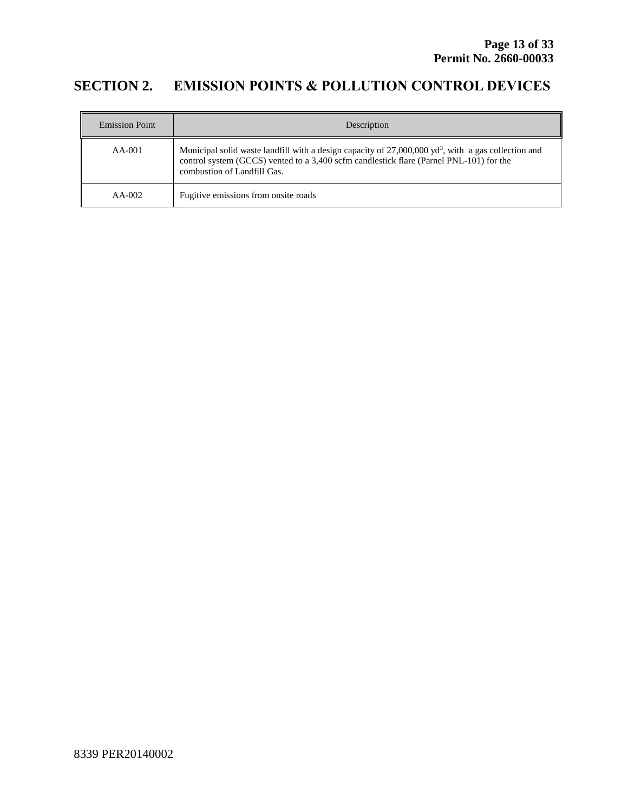## **SECTION 2. EMISSION POINTS & POLLUTION CONTROL DEVICES**

| <b>Emission Point</b> | Description                                                                                                                                                                                                                                 |
|-----------------------|---------------------------------------------------------------------------------------------------------------------------------------------------------------------------------------------------------------------------------------------|
| $AA-001$              | Municipal solid waste landfill with a design capacity of $27,000,000$ yd <sup>3</sup> , with a gas collection and<br>control system (GCCS) vented to a 3,400 scfm candlestick flare (Parnel PNL-101) for the<br>combustion of Landfill Gas. |
| $AA-002$              | Fugitive emissions from onsite roads                                                                                                                                                                                                        |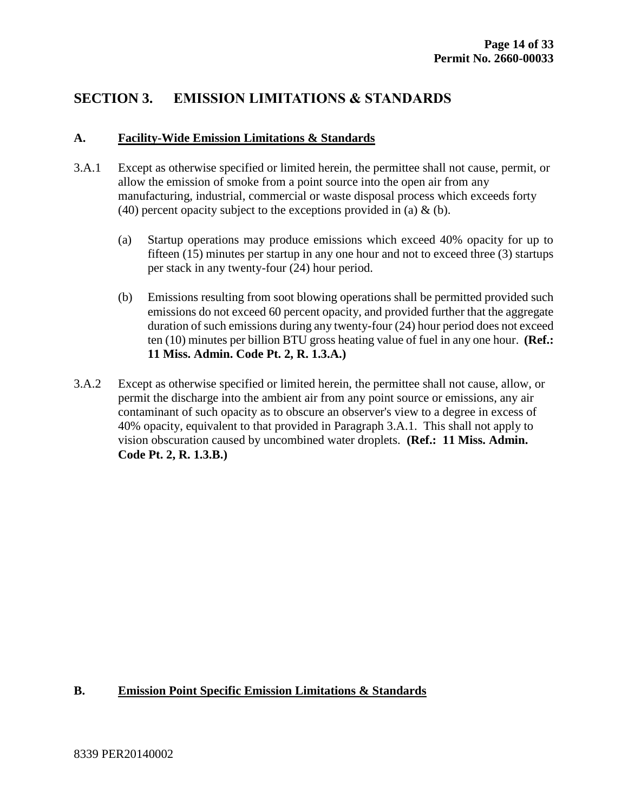## **SECTION 3. EMISSION LIMITATIONS & STANDARDS**

#### **A. Facility-Wide Emission Limitations & Standards**

- 3.A.1 Except as otherwise specified or limited herein, the permittee shall not cause, permit, or allow the emission of smoke from a point source into the open air from any manufacturing, industrial, commercial or waste disposal process which exceeds forty (40) percent opacity subject to the exceptions provided in (a)  $\&$  (b).
	- (a) Startup operations may produce emissions which exceed 40% opacity for up to fifteen (15) minutes per startup in any one hour and not to exceed three (3) startups per stack in any twenty-four (24) hour period.
	- (b) Emissions resulting from soot blowing operations shall be permitted provided such emissions do not exceed 60 percent opacity, and provided further that the aggregate duration of such emissions during any twenty-four (24) hour period does not exceed ten (10) minutes per billion BTU gross heating value of fuel in any one hour. **(Ref.: 11 Miss. Admin. Code Pt. 2, R. 1.3.A.)**
- 3.A.2 Except as otherwise specified or limited herein, the permittee shall not cause, allow, or permit the discharge into the ambient air from any point source or emissions, any air contaminant of such opacity as to obscure an observer's view to a degree in excess of 40% opacity, equivalent to that provided in Paragraph 3.A.1. This shall not apply to vision obscuration caused by uncombined water droplets. **(Ref.: 11 Miss. Admin. Code Pt. 2, R. 1.3.B.)**

#### **B. Emission Point Specific Emission Limitations & Standards**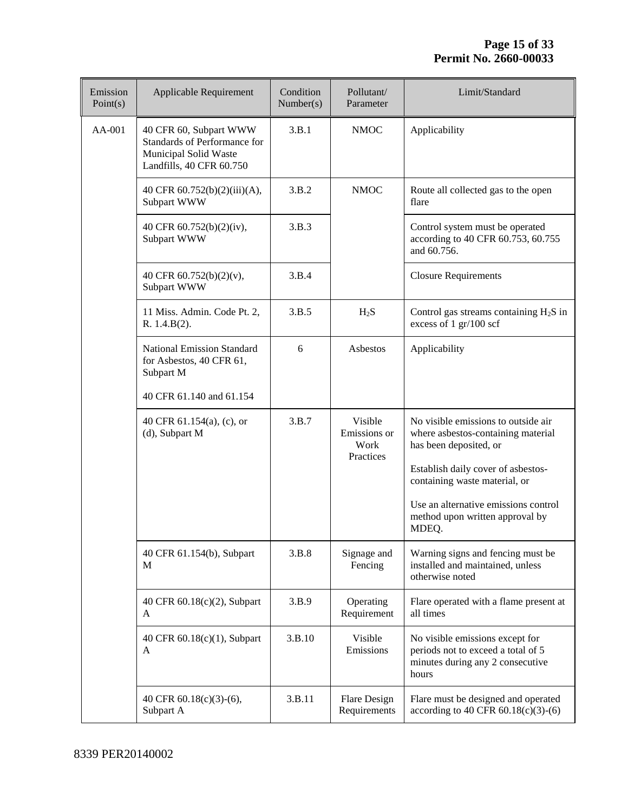| Emission<br>Point(s) | Applicable Requirement                                                                                      | Condition<br>Number(s) | Pollutant/<br>Parameter                      | Limit/Standard                                                                                                                                                             |
|----------------------|-------------------------------------------------------------------------------------------------------------|------------------------|----------------------------------------------|----------------------------------------------------------------------------------------------------------------------------------------------------------------------------|
| AA-001               | 40 CFR 60, Subpart WWW<br>Standards of Performance for<br>Municipal Solid Waste<br>Landfills, 40 CFR 60.750 | 3.B.1                  | <b>NMOC</b>                                  | Applicability                                                                                                                                                              |
|                      | 40 CFR 60.752(b)(2)(iii)(A),<br>Subpart WWW                                                                 | 3.B.2                  | <b>NMOC</b>                                  | Route all collected gas to the open<br>flare                                                                                                                               |
|                      | 40 CFR 60.752(b)(2)(iv),<br>Subpart WWW                                                                     | 3.B.3                  |                                              | Control system must be operated<br>according to 40 CFR 60.753, 60.755<br>and 60.756.                                                                                       |
|                      | 40 CFR 60.752(b)(2)(v),<br>Subpart WWW                                                                      | 3.B.4                  |                                              | <b>Closure Requirements</b>                                                                                                                                                |
|                      | 11 Miss. Admin. Code Pt. 2,<br>R. 1.4.B(2).                                                                 | 3.B.5                  | $H_2S$                                       | Control gas streams containing $H_2S$ in<br>excess of 1 gr/100 scf                                                                                                         |
|                      | <b>National Emission Standard</b><br>for Asbestos, 40 CFR 61,<br>Subpart M                                  | 6                      | Asbestos                                     | Applicability                                                                                                                                                              |
|                      | 40 CFR 61.140 and 61.154                                                                                    |                        |                                              |                                                                                                                                                                            |
|                      | 40 CFR 61.154(a), (c), or<br>(d), Subpart M                                                                 | 3.B.7                  | Visible<br>Emissions or<br>Work<br>Practices | No visible emissions to outside air<br>where asbestos-containing material<br>has been deposited, or<br>Establish daily cover of asbestos-<br>containing waste material, or |
|                      |                                                                                                             |                        |                                              | Use an alternative emissions control<br>method upon written approval by<br>MDEQ.                                                                                           |
|                      | 40 CFR 61.154(b), Subpart<br>М                                                                              | 3.B.8                  | Signage and<br>Fencing                       | Warning signs and fencing must be<br>installed and maintained, unless<br>otherwise noted                                                                                   |
|                      | 40 CFR 60.18(c)(2), Subpart<br>A                                                                            | 3.B.9                  | Operating<br>Requirement                     | Flare operated with a flame present at<br>all times                                                                                                                        |
|                      | 40 CFR 60.18(c)(1), Subpart<br>A                                                                            | 3.B.10                 | Visible<br>Emissions                         | No visible emissions except for<br>periods not to exceed a total of 5<br>minutes during any 2 consecutive<br>hours                                                         |
|                      | 40 CFR 60.18(c)(3)-(6),<br>Subpart A                                                                        | 3.B.11                 | <b>Flare Design</b><br>Requirements          | Flare must be designed and operated<br>according to 40 CFR $60.18(c)(3)-(6)$                                                                                               |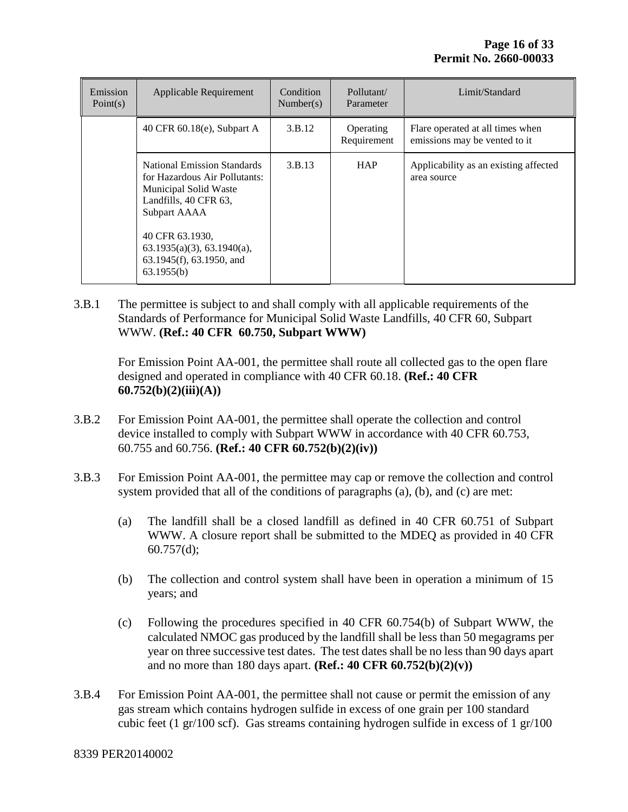| Emission<br>Point $(s)$ | Applicable Requirement                                                                                                         | Condition<br>Number(s) | Pollutant/<br>Parameter  | Limit/Standard                                                    |
|-------------------------|--------------------------------------------------------------------------------------------------------------------------------|------------------------|--------------------------|-------------------------------------------------------------------|
|                         | 40 CFR $60.18(e)$ , Subpart A                                                                                                  | 3.B.12                 | Operating<br>Requirement | Flare operated at all times when<br>emissions may be vented to it |
|                         | National Emission Standards<br>for Hazardous Air Pollutants:<br>Municipal Solid Waste<br>Landfills, 40 CFR 63,<br>Subpart AAAA | 3.B.13                 | <b>HAP</b>               | Applicability as an existing affected<br>area source              |
|                         | 40 CFR 63.1930,<br>$63.1935(a)(3)$ , $63.1940(a)$ ,<br>63.1945(f), 63.1950, and<br>63.1955(b)                                  |                        |                          |                                                                   |

3.B.1 The permittee is subject to and shall comply with all applicable requirements of the Standards of Performance for Municipal Solid Waste Landfills, 40 CFR 60, Subpart WWW. **(Ref.: 40 CFR 60.750, Subpart WWW)**

For Emission Point AA-001, the permittee shall route all collected gas to the open flare designed and operated in compliance with 40 CFR 60.18. **(Ref.: 40 CFR 60.752(b)(2)(iii)(A))**

- 3.B.2 For Emission Point AA-001, the permittee shall operate the collection and control device installed to comply with Subpart WWW in accordance with 40 CFR 60.753, 60.755 and 60.756. **(Ref.: 40 CFR 60.752(b)(2)(iv))**
- 3.B.3 For Emission Point AA-001, the permittee may cap or remove the collection and control system provided that all of the conditions of paragraphs (a), (b), and (c) are met:
	- (a) The landfill shall be a closed landfill as defined in 40 CFR 60.751 of Subpart WWW. A closure report shall be submitted to the MDEQ as provided in 40 CFR  $60.757(d);$
	- (b) The collection and control system shall have been in operation a minimum of 15 years; and
	- (c) Following the procedures specified in 40 CFR 60.754(b) of Subpart WWW, the calculated NMOC gas produced by the landfill shall be less than 50 megagrams per year on three successive test dates. The test dates shall be no less than 90 days apart and no more than 180 days apart. **(Ref.: 40 CFR 60.752(b)(2)(v))**
- 3.B.4 For Emission Point AA-001, the permittee shall not cause or permit the emission of any gas stream which contains hydrogen sulfide in excess of one grain per 100 standard cubic feet (1 gr/100 scf). Gas streams containing hydrogen sulfide in excess of 1 gr/100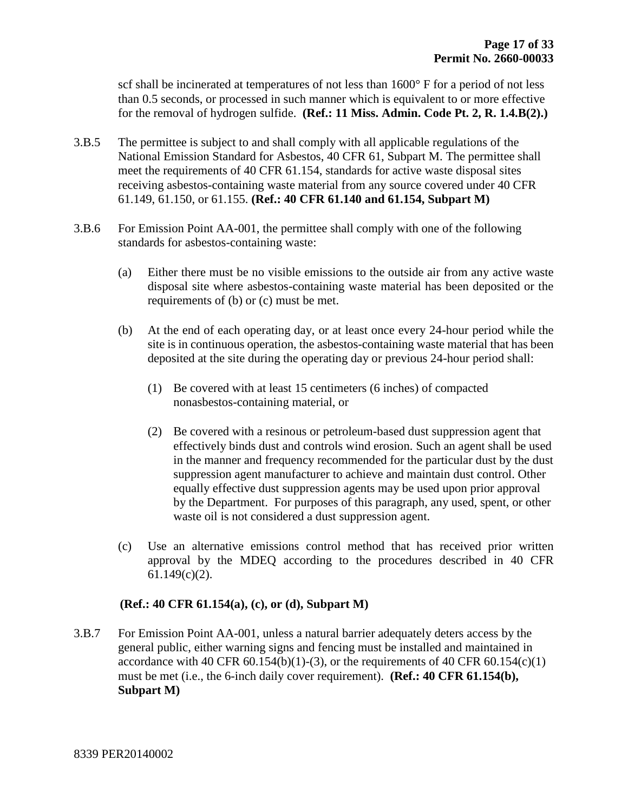scf shall be incinerated at temperatures of not less than 1600° F for a period of not less than 0.5 seconds, or processed in such manner which is equivalent to or more effective for the removal of hydrogen sulfide. **(Ref.: 11 Miss. Admin. Code Pt. 2, R. 1.4.B(2).)**

- 3.B.5 The permittee is subject to and shall comply with all applicable regulations of the National Emission Standard for Asbestos, 40 CFR 61, Subpart M. The permittee shall meet the requirements of 40 CFR 61.154, standards for active waste disposal sites receiving asbestos-containing waste material from any source covered under 40 CFR 61.149, 61.150, or 61.155. **(Ref.: 40 CFR 61.140 and 61.154, Subpart M)**
- 3.B.6 For Emission Point AA-001, the permittee shall comply with one of the following standards for asbestos-containing waste:
	- (a) Either there must be no visible emissions to the outside air from any active waste disposal site where asbestos-containing waste material has been deposited or the requirements of (b) or (c) must be met.
	- (b) At the end of each operating day, or at least once every 24-hour period while the site is in continuous operation, the asbestos-containing waste material that has been deposited at the site during the operating day or previous 24-hour period shall:
		- (1) Be covered with at least 15 centimeters (6 inches) of compacted nonasbestos-containing material, or
		- (2) Be covered with a resinous or petroleum-based dust suppression agent that effectively binds dust and controls wind erosion. Such an agent shall be used in the manner and frequency recommended for the particular dust by the dust suppression agent manufacturer to achieve and maintain dust control. Other equally effective dust suppression agents may be used upon prior approval by the Department. For purposes of this paragraph, any used, spent, or other waste oil is not considered a dust suppression agent.
	- (c) Use an alternative emissions control method that has received prior written approval by the MDEQ according to the procedures described in 40 CFR 61.149(c)(2).

#### **(Ref.: 40 CFR 61.154(a), (c), or (d), Subpart M)**

3.B.7 For Emission Point AA-001, unless a natural barrier adequately deters access by the general public, either warning signs and fencing must be installed and maintained in accordance with 40 CFR  $60.154(b)(1)-(3)$ , or the requirements of 40 CFR  $60.154(c)(1)$ must be met (i.e., the 6-inch daily cover requirement). **(Ref.: 40 CFR 61.154(b), Subpart M)**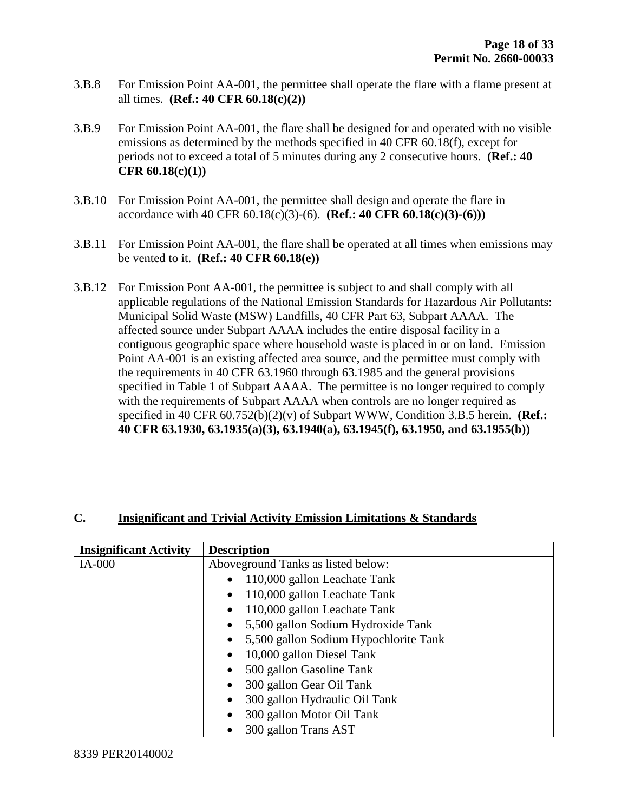- 3.B.8 For Emission Point AA-001, the permittee shall operate the flare with a flame present at all times. **(Ref.: 40 CFR 60.18(c)(2))**
- 3.B.9 For Emission Point AA-001, the flare shall be designed for and operated with no visible emissions as determined by the methods specified in 40 CFR 60.18(f), except for periods not to exceed a total of 5 minutes during any 2 consecutive hours. **(Ref.: 40 CFR 60.18(c)(1))**
- 3.B.10 For Emission Point AA-001, the permittee shall design and operate the flare in accordance with 40 CFR 60.18(c)(3)-(6). **(Ref.: 40 CFR 60.18(c)(3)-(6)))**
- 3.B.11 For Emission Point AA-001, the flare shall be operated at all times when emissions may be vented to it. **(Ref.: 40 CFR 60.18(e))**
- 3.B.12 For Emission Pont AA-001, the permittee is subject to and shall comply with all applicable regulations of the National Emission Standards for Hazardous Air Pollutants: Municipal Solid Waste (MSW) Landfills, 40 CFR Part 63, Subpart AAAA. The affected source under Subpart AAAA includes the entire disposal facility in a contiguous geographic space where household waste is placed in or on land. Emission Point AA-001 is an existing affected area source, and the permittee must comply with the requirements in 40 CFR 63.1960 through 63.1985 and the general provisions specified in Table 1 of Subpart AAAA. The permittee is no longer required to comply with the requirements of Subpart AAAA when controls are no longer required as specified in 40 CFR 60.752(b)(2)(v) of Subpart WWW, Condition 3.B.5 herein. **(Ref.: 40 CFR 63.1930, 63.1935(a)(3), 63.1940(a), 63.1945(f), 63.1950, and 63.1955(b))**

#### **C. Insignificant and Trivial Activity Emission Limitations & Standards**

| <b>Insignificant Activity</b> | <b>Description</b>                                 |
|-------------------------------|----------------------------------------------------|
| IA-000                        | Aboveground Tanks as listed below:                 |
|                               | 110,000 gallon Leachate Tank                       |
|                               | 110,000 gallon Leachate Tank<br>$\bullet$          |
|                               | 110,000 gallon Leachate Tank<br>$\bullet$          |
|                               | 5,500 gallon Sodium Hydroxide Tank<br>$\bullet$    |
|                               | 5,500 gallon Sodium Hypochlorite Tank<br>$\bullet$ |
|                               | 10,000 gallon Diesel Tank<br>$\bullet$             |
|                               | 500 gallon Gasoline Tank                           |
|                               | 300 gallon Gear Oil Tank<br>$\bullet$              |
|                               | 300 gallon Hydraulic Oil Tank<br>$\bullet$         |
|                               | 300 gallon Motor Oil Tank<br>$\bullet$             |
|                               | 300 gallon Trans AST                               |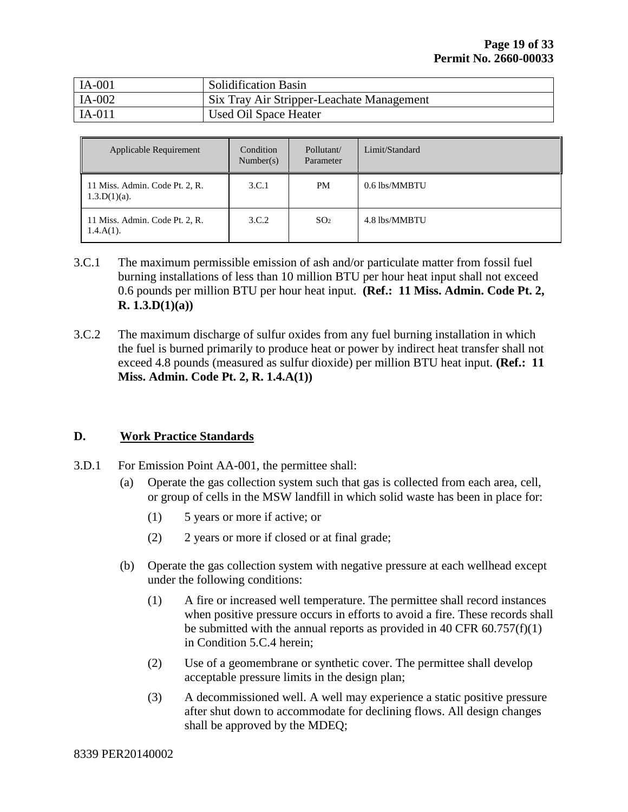| $IA-001$ | <b>Solidification Basin</b>               |
|----------|-------------------------------------------|
| $IA-002$ | Six Tray Air Stripper-Leachate Management |
| $IA-011$ | Used Oil Space Heater                     |

| Applicable Requirement                            | Condition<br>Number(s) | Pollutant/<br>Parameter | Limit/Standard |
|---------------------------------------------------|------------------------|-------------------------|----------------|
| 11 Miss. Admin. Code Pt. 2, R.<br>$1.3.D(1)(a)$ . | 3.C.1                  | PM                      | 0.6 lbs/MMBTU  |
| 11 Miss. Admin. Code Pt. 2, R.<br>$1.4.A(1)$ .    | 3.C.2                  | SO <sub>2</sub>         | 4.8 lbs/MMBTU  |

- 3.C.1 The maximum permissible emission of ash and/or particulate matter from fossil fuel burning installations of less than 10 million BTU per hour heat input shall not exceed 0.6 pounds per million BTU per hour heat input. **(Ref.: 11 Miss. Admin. Code Pt. 2, R. 1.3.D(1)(a))**
- 3.C.2 The maximum discharge of sulfur oxides from any fuel burning installation in which the fuel is burned primarily to produce heat or power by indirect heat transfer shall not exceed 4.8 pounds (measured as sulfur dioxide) per million BTU heat input. **(Ref.: 11 Miss. Admin. Code Pt. 2, R. 1.4.A(1))**

#### **D. Work Practice Standards**

- 3.D.1 For Emission Point AA-001, the permittee shall:
	- (a) Operate the gas collection system such that gas is collected from each area, cell, or group of cells in the MSW landfill in which solid waste has been in place for:
		- (1) 5 years or more if active; or
		- (2) 2 years or more if closed or at final grade;
	- (b) Operate the gas collection system with negative pressure at each wellhead except under the following conditions:
		- (1) A fire or increased well temperature. The permittee shall record instances when positive pressure occurs in efforts to avoid a fire. These records shall be submitted with the annual reports as provided in 40 CFR  $60.757(f)(1)$ in Condition 5.C.4 herein;
		- (2) Use of a geomembrane or synthetic cover. The permittee shall develop acceptable pressure limits in the design plan;
		- (3) A decommissioned well. A well may experience a static positive pressure after shut down to accommodate for declining flows. All design changes shall be approved by the MDEQ;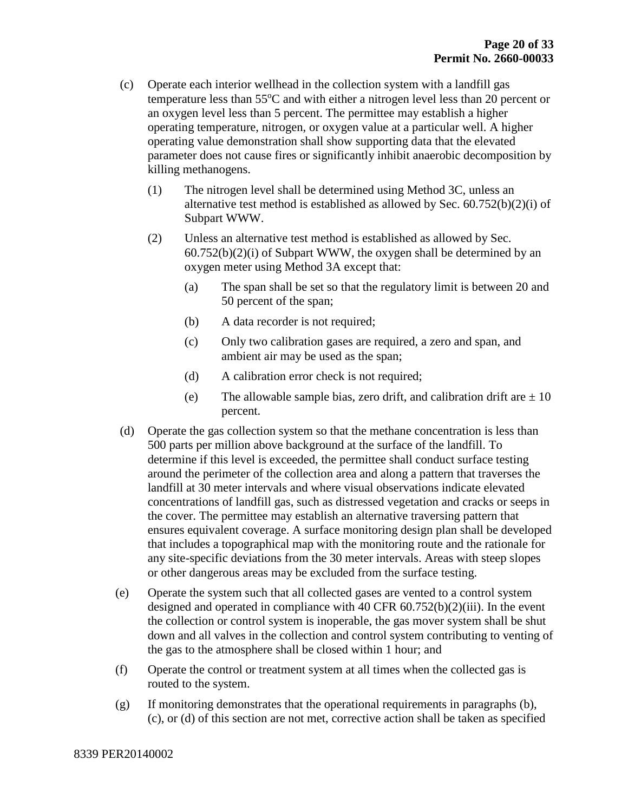- (c) Operate each interior wellhead in the collection system with a landfill gas temperature less than  $55^{\circ}$ C and with either a nitrogen level less than 20 percent or an oxygen level less than 5 percent. The permittee may establish a higher operating temperature, nitrogen, or oxygen value at a particular well. A higher operating value demonstration shall show supporting data that the elevated parameter does not cause fires or significantly inhibit anaerobic decomposition by killing methanogens.
	- (1) The nitrogen level shall be determined using Method 3C, unless an alternative test method is established as allowed by Sec. 60.752(b)(2)(i) of Subpart WWW.
	- (2) Unless an alternative test method is established as allowed by Sec. 60.752(b)(2)(i) of Subpart WWW, the oxygen shall be determined by an oxygen meter using Method 3A except that:
		- (a) The span shall be set so that the regulatory limit is between 20 and 50 percent of the span;
		- (b) A data recorder is not required;
		- (c) Only two calibration gases are required, a zero and span, and ambient air may be used as the span;
		- (d) A calibration error check is not required;
		- (e) The allowable sample bias, zero drift, and calibration drift are  $\pm 10$ percent.
- (d) Operate the gas collection system so that the methane concentration is less than 500 parts per million above background at the surface of the landfill. To determine if this level is exceeded, the permittee shall conduct surface testing around the perimeter of the collection area and along a pattern that traverses the landfill at 30 meter intervals and where visual observations indicate elevated concentrations of landfill gas, such as distressed vegetation and cracks or seeps in the cover. The permittee may establish an alternative traversing pattern that ensures equivalent coverage. A surface monitoring design plan shall be developed that includes a topographical map with the monitoring route and the rationale for any site-specific deviations from the 30 meter intervals. Areas with steep slopes or other dangerous areas may be excluded from the surface testing.
- (e) Operate the system such that all collected gases are vented to a control system designed and operated in compliance with 40 CFR  $60.752(b)(2)(iii)$ . In the event the collection or control system is inoperable, the gas mover system shall be shut down and all valves in the collection and control system contributing to venting of the gas to the atmosphere shall be closed within 1 hour; and
- (f) Operate the control or treatment system at all times when the collected gas is routed to the system.
- (g) If monitoring demonstrates that the operational requirements in paragraphs (b), (c), or (d) of this section are not met, corrective action shall be taken as specified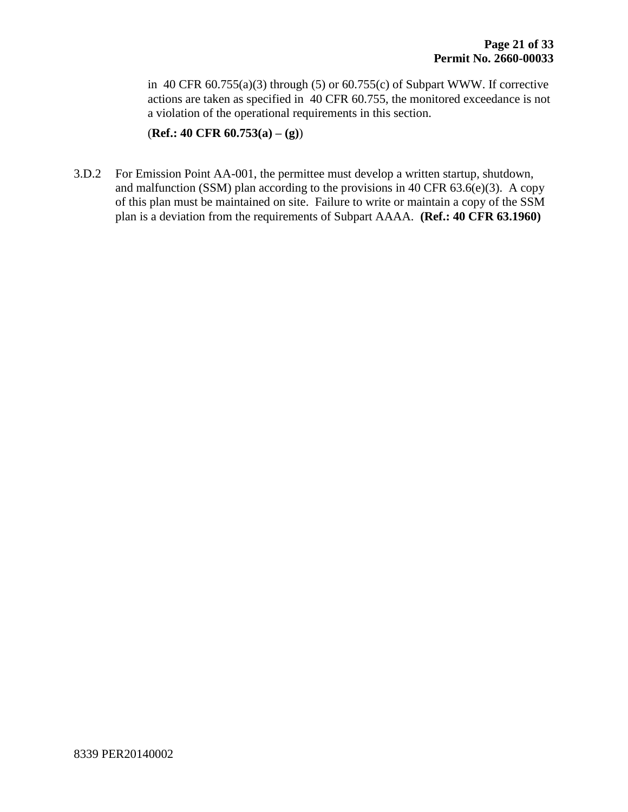in 40 CFR  $60.755(a)(3)$  through (5) or  $60.755(c)$  of Subpart WWW. If corrective actions are taken as specified in 40 CFR 60.755, the monitored exceedance is not a violation of the operational requirements in this section.

(**Ref.: 40 CFR 60.753(a) – (g)**)

3.D.2 For Emission Point AA-001, the permittee must develop a written startup, shutdown, and malfunction (SSM) plan according to the provisions in 40 CFR  $63.6(e)(3)$ . A copy of this plan must be maintained on site. Failure to write or maintain a copy of the SSM plan is a deviation from the requirements of Subpart AAAA. **(Ref.: 40 CFR 63.1960)**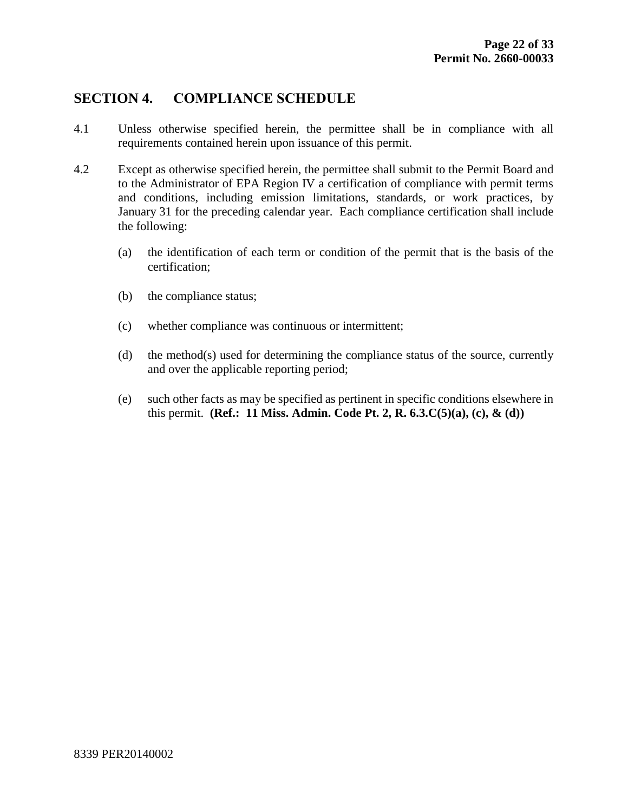## **SECTION 4. COMPLIANCE SCHEDULE**

- 4.1 Unless otherwise specified herein, the permittee shall be in compliance with all requirements contained herein upon issuance of this permit.
- 4.2 Except as otherwise specified herein, the permittee shall submit to the Permit Board and to the Administrator of EPA Region IV a certification of compliance with permit terms and conditions, including emission limitations, standards, or work practices, by January 31 for the preceding calendar year. Each compliance certification shall include the following:
	- (a) the identification of each term or condition of the permit that is the basis of the certification;
	- (b) the compliance status;
	- (c) whether compliance was continuous or intermittent;
	- (d) the method(s) used for determining the compliance status of the source, currently and over the applicable reporting period;
	- (e) such other facts as may be specified as pertinent in specific conditions elsewhere in this permit. **(Ref.: 11 Miss. Admin. Code Pt. 2, R. 6.3.C(5)(a), (c), & (d))**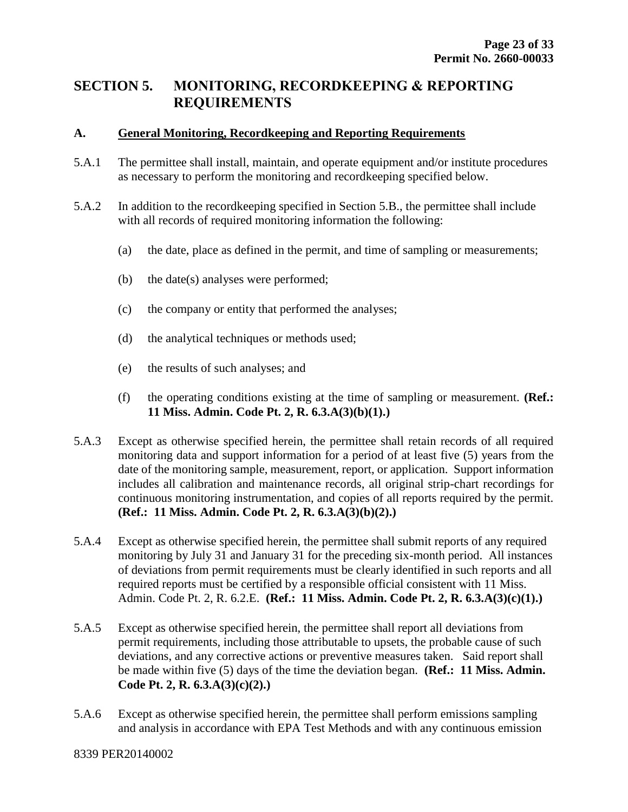### **SECTION 5. MONITORING, RECORDKEEPING & REPORTING REQUIREMENTS**

#### **A. General Monitoring, Recordkeeping and Reporting Requirements**

- 5.A.1 The permittee shall install, maintain, and operate equipment and/or institute procedures as necessary to perform the monitoring and recordkeeping specified below.
- 5.A.2 In addition to the recordkeeping specified in Section 5.B., the permittee shall include with all records of required monitoring information the following:
	- (a) the date, place as defined in the permit, and time of sampling or measurements;
	- (b) the date(s) analyses were performed;
	- (c) the company or entity that performed the analyses;
	- (d) the analytical techniques or methods used;
	- (e) the results of such analyses; and
	- (f) the operating conditions existing at the time of sampling or measurement. **(Ref.: 11 Miss. Admin. Code Pt. 2, R. 6.3.A(3)(b)(1).)**
- 5.A.3 Except as otherwise specified herein, the permittee shall retain records of all required monitoring data and support information for a period of at least five (5) years from the date of the monitoring sample, measurement, report, or application. Support information includes all calibration and maintenance records, all original strip-chart recordings for continuous monitoring instrumentation, and copies of all reports required by the permit. **(Ref.: 11 Miss. Admin. Code Pt. 2, R. 6.3.A(3)(b)(2).)**
- 5.A.4 Except as otherwise specified herein, the permittee shall submit reports of any required monitoring by July 31 and January 31 for the preceding six-month period. All instances of deviations from permit requirements must be clearly identified in such reports and all required reports must be certified by a responsible official consistent with 11 Miss. Admin. Code Pt. 2, R. 6.2.E. **(Ref.: 11 Miss. Admin. Code Pt. 2, R. 6.3.A(3)(c)(1).)**
- 5.A.5 Except as otherwise specified herein, the permittee shall report all deviations from permit requirements, including those attributable to upsets, the probable cause of such deviations, and any corrective actions or preventive measures taken. Said report shall be made within five (5) days of the time the deviation began. **(Ref.: 11 Miss. Admin. Code Pt. 2, R. 6.3.A(3)(c)(2).)**
- 5.A.6 Except as otherwise specified herein, the permittee shall perform emissions sampling and analysis in accordance with EPA Test Methods and with any continuous emission

#### 8339 PER20140002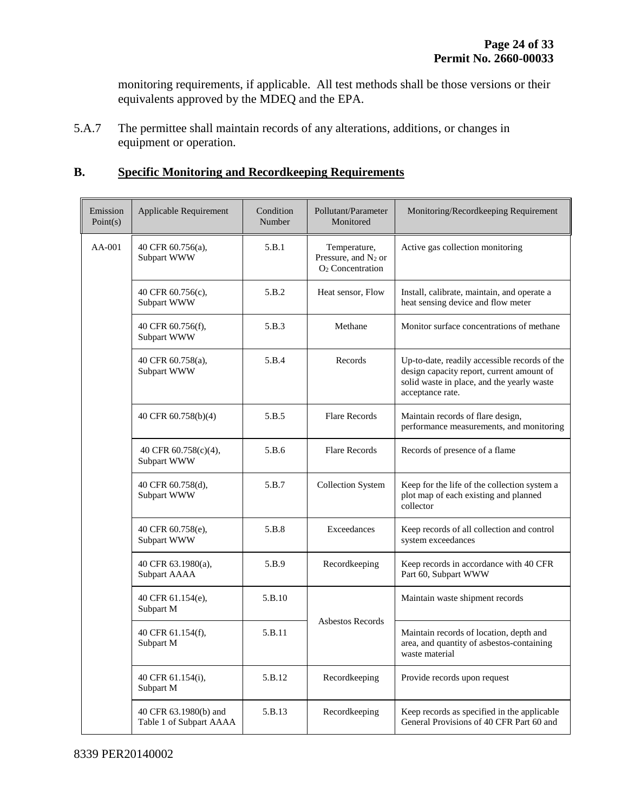monitoring requirements, if applicable. All test methods shall be those versions or their equivalents approved by the MDEQ and the EPA.

5.A.7 The permittee shall maintain records of any alterations, additions, or changes in equipment or operation.

#### **B. Specific Monitoring and Recordkeeping Requirements**

| Emission<br>Point(s) | Applicable Requirement                           | Condition<br>Number | Pollutant/Parameter<br>Monitored                                                | Monitoring/Recordkeeping Requirement                                                                                                                         |
|----------------------|--------------------------------------------------|---------------------|---------------------------------------------------------------------------------|--------------------------------------------------------------------------------------------------------------------------------------------------------------|
| $AA-001$             | 40 CFR 60.756(a),<br>Subpart WWW                 | 5.B.1               | Temperature,<br>Pressure, and N <sub>2</sub> or<br>O <sub>2</sub> Concentration | Active gas collection monitoring                                                                                                                             |
|                      | 40 CFR 60.756(c),<br>Subpart WWW                 | 5.B.2               | Heat sensor, Flow                                                               | Install, calibrate, maintain, and operate a<br>heat sensing device and flow meter                                                                            |
|                      | 40 CFR 60.756(f),<br>Subpart WWW                 | 5.B.3               | Methane                                                                         | Monitor surface concentrations of methane                                                                                                                    |
|                      | 40 CFR 60.758(a),<br>Subpart WWW                 | 5.B.4               | Records                                                                         | Up-to-date, readily accessible records of the<br>design capacity report, current amount of<br>solid waste in place, and the yearly waste<br>acceptance rate. |
|                      | 40 CFR 60.758(b)(4)                              | 5.B.5               | <b>Flare Records</b>                                                            | Maintain records of flare design,<br>performance measurements, and monitoring                                                                                |
|                      | 40 CFR 60.758(c)(4),<br>Subpart WWW              | 5.B.6               | <b>Flare Records</b>                                                            | Records of presence of a flame                                                                                                                               |
|                      | 40 CFR 60.758(d),<br>Subpart WWW                 | 5.B.7               | <b>Collection System</b>                                                        | Keep for the life of the collection system a<br>plot map of each existing and planned<br>collector                                                           |
|                      | 40 CFR 60.758(e),<br>Subpart WWW                 | 5.B.8               | Exceedances                                                                     | Keep records of all collection and control<br>system exceedances                                                                                             |
|                      | 40 CFR 63.1980(a),<br>Subpart AAAA               | 5.B.9               | Recordkeeping                                                                   | Keep records in accordance with 40 CFR<br>Part 60, Subpart WWW                                                                                               |
|                      | 40 CFR 61.154(e),<br>Subpart M                   | 5.B.10              |                                                                                 | Maintain waste shipment records                                                                                                                              |
|                      | 40 CFR 61.154(f),<br>Subpart M                   | 5.B.11              | Asbestos Records                                                                | Maintain records of location, depth and<br>area, and quantity of asbestos-containing<br>waste material                                                       |
|                      | 40 CFR 61.154(i),<br>Subpart M                   | 5.B.12              | Recordkeeping                                                                   | Provide records upon request                                                                                                                                 |
|                      | 40 CFR 63.1980(b) and<br>Table 1 of Subpart AAAA | 5.B.13              | Recordkeeping                                                                   | Keep records as specified in the applicable<br>General Provisions of 40 CFR Part 60 and                                                                      |

8339 PER20140002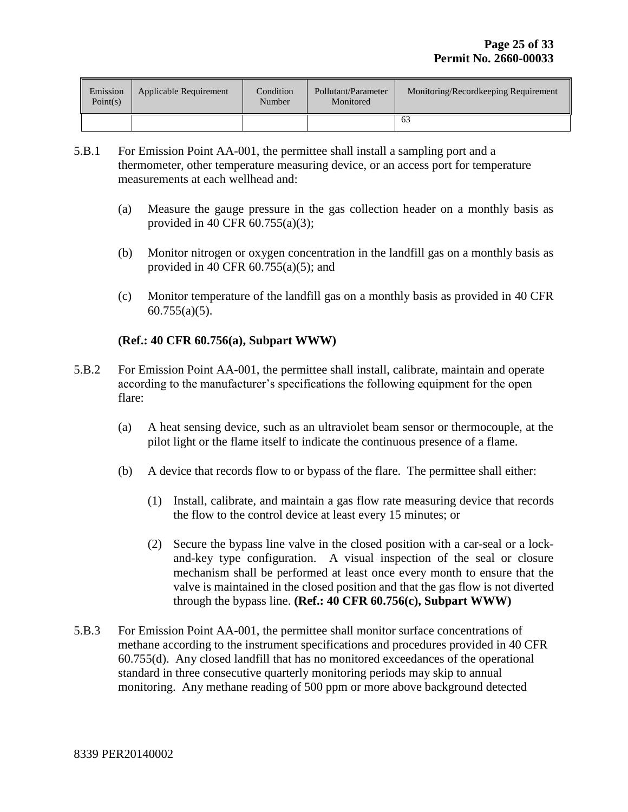| Emission<br>Point(s) | Applicable Requirement | Condition<br>Number | Pollutant/Parameter<br>Monitored | Monitoring/Recordkeeping Requirement |
|----------------------|------------------------|---------------------|----------------------------------|--------------------------------------|
|                      |                        |                     |                                  |                                      |

- 5.B.1 For Emission Point AA-001, the permittee shall install a sampling port and a thermometer, other temperature measuring device, or an access port for temperature measurements at each wellhead and:
	- (a) Measure the gauge pressure in the gas collection header on a monthly basis as provided in 40 CFR 60.755(a)(3);
	- (b) Monitor nitrogen or oxygen concentration in the landfill gas on a monthly basis as provided in 40 CFR  $60.755(a)(5)$ ; and
	- (c) Monitor temperature of the landfill gas on a monthly basis as provided in 40 CFR  $60.755(a)(5)$ .

#### **(Ref.: 40 CFR 60.756(a), Subpart WWW)**

- 5.B.2 For Emission Point AA-001, the permittee shall install, calibrate, maintain and operate according to the manufacturer's specifications the following equipment for the open flare:
	- (a) A heat sensing device, such as an ultraviolet beam sensor or thermocouple, at the pilot light or the flame itself to indicate the continuous presence of a flame.
	- (b) A device that records flow to or bypass of the flare. The permittee shall either:
		- (1) Install, calibrate, and maintain a gas flow rate measuring device that records the flow to the control device at least every 15 minutes; or
		- (2) Secure the bypass line valve in the closed position with a car-seal or a lockand-key type configuration. A visual inspection of the seal or closure mechanism shall be performed at least once every month to ensure that the valve is maintained in the closed position and that the gas flow is not diverted through the bypass line. **(Ref.: 40 CFR 60.756(c), Subpart WWW)**
- 5.B.3 For Emission Point AA-001, the permittee shall monitor surface concentrations of methane according to the instrument specifications and procedures provided in 40 CFR 60.755(d). Any closed landfill that has no monitored exceedances of the operational standard in three consecutive quarterly monitoring periods may skip to annual monitoring. Any methane reading of 500 ppm or more above background detected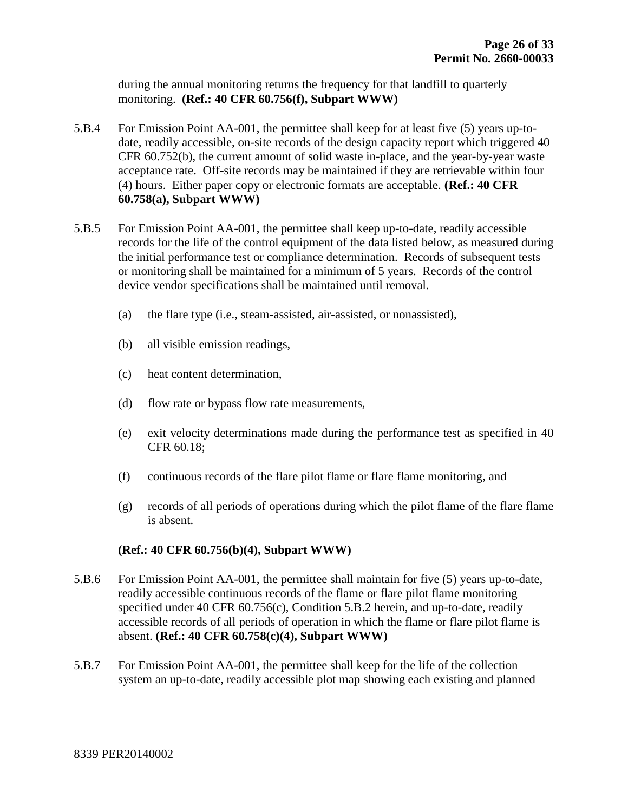during the annual monitoring returns the frequency for that landfill to quarterly monitoring. **(Ref.: 40 CFR 60.756(f), Subpart WWW)**

- 5.B.4 For Emission Point AA-001, the permittee shall keep for at least five (5) years up-todate, readily accessible, on-site records of the design capacity report which triggered 40 CFR 60.752(b), the current amount of solid waste in-place, and the year-by-year waste acceptance rate. Off-site records may be maintained if they are retrievable within four (4) hours. Either paper copy or electronic formats are acceptable. **(Ref.: 40 CFR 60.758(a), Subpart WWW)**
- 5.B.5 For Emission Point AA-001, the permittee shall keep up-to-date, readily accessible records for the life of the control equipment of the data listed below, as measured during the initial performance test or compliance determination. Records of subsequent tests or monitoring shall be maintained for a minimum of 5 years. Records of the control device vendor specifications shall be maintained until removal.
	- (a) the flare type (i.e., steam-assisted, air-assisted, or nonassisted),
	- (b) all visible emission readings,
	- (c) heat content determination,
	- (d) flow rate or bypass flow rate measurements,
	- (e) exit velocity determinations made during the performance test as specified in 40 CFR 60.18;
	- (f) continuous records of the flare pilot flame or flare flame monitoring, and
	- (g) records of all periods of operations during which the pilot flame of the flare flame is absent.

#### **(Ref.: 40 CFR 60.756(b)(4), Subpart WWW)**

- 5.B.6 For Emission Point AA-001, the permittee shall maintain for five (5) years up-to-date, readily accessible continuous records of the flame or flare pilot flame monitoring specified under 40 CFR 60.756(c), Condition 5.B.2 herein, and up-to-date, readily accessible records of all periods of operation in which the flame or flare pilot flame is absent. **(Ref.: 40 CFR 60.758(c)(4), Subpart WWW)**
- 5.B.7 For Emission Point AA-001, the permittee shall keep for the life of the collection system an up-to-date, readily accessible plot map showing each existing and planned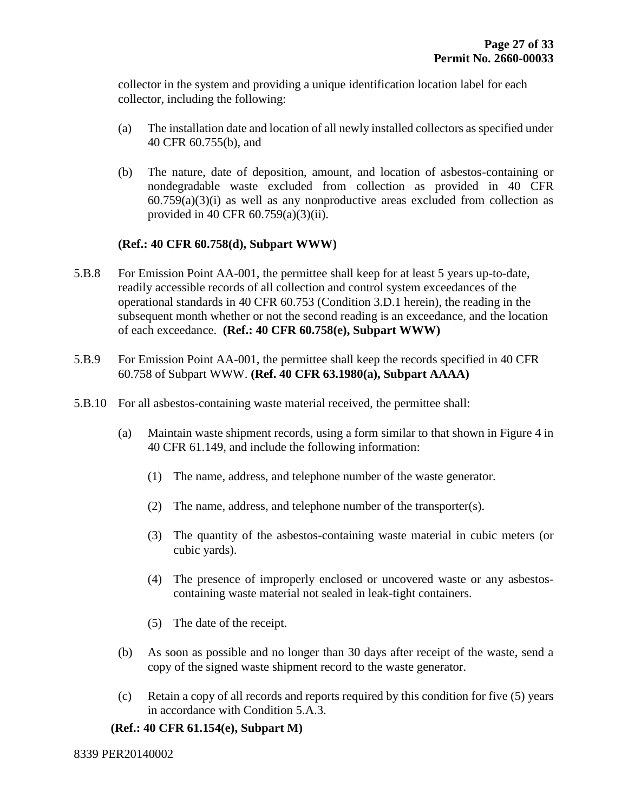collector in the system and providing a unique identification location label for each collector, including the following:

- (a) The installation date and location of all newly installed collectors as specified under 40 CFR 60.755(b), and
- (b) The nature, date of deposition, amount, and location of asbestos-containing or nondegradable waste excluded from collection as provided in 40 CFR  $60.759(a)(3)(i)$  as well as any nonproductive areas excluded from collection as provided in 40 CFR 60.759(a)(3)(ii).

#### **(Ref.: 40 CFR 60.758(d), Subpart WWW)**

- 5.B.8 For Emission Point AA-001, the permittee shall keep for at least 5 years up-to-date, readily accessible records of all collection and control system exceedances of the operational standards in 40 CFR 60.753 (Condition 3.D.1 herein), the reading in the subsequent month whether or not the second reading is an exceedance, and the location of each exceedance. **(Ref.: 40 CFR 60.758(e), Subpart WWW)**
- 5.B.9 For Emission Point AA-001, the permittee shall keep the records specified in 40 CFR 60.758 of Subpart WWW. **(Ref. 40 CFR 63.1980(a), Subpart AAAA)**
- 5.B.10 For all asbestos-containing waste material received, the permittee shall:
	- (a) Maintain waste shipment records, using a form similar to that shown in Figure 4 in 40 CFR 61.149, and include the following information:
		- (1) The name, address, and telephone number of the waste generator.
		- (2) The name, address, and telephone number of the transporter(s).
		- (3) The quantity of the asbestos-containing waste material in cubic meters (or cubic yards).
		- (4) The presence of improperly enclosed or uncovered waste or any asbestoscontaining waste material not sealed in leak-tight containers.
		- (5) The date of the receipt.
	- (b) As soon as possible and no longer than 30 days after receipt of the waste, send a copy of the signed waste shipment record to the waste generator.
	- (c) Retain a copy of all records and reports required by this condition for five (5) years in accordance with Condition 5.A.3.

#### **(Ref.: 40 CFR 61.154(e), Subpart M)**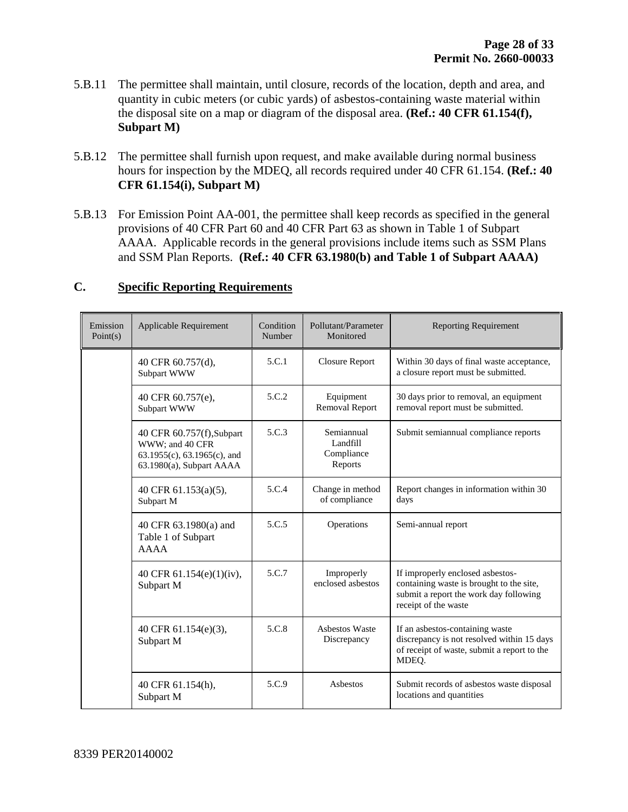- 5.B.11 The permittee shall maintain, until closure, records of the location, depth and area, and quantity in cubic meters (or cubic yards) of asbestos-containing waste material within the disposal site on a map or diagram of the disposal area. **(Ref.: 40 CFR 61.154(f), Subpart M)**
- 5.B.12 The permittee shall furnish upon request, and make available during normal business hours for inspection by the MDEQ, all records required under 40 CFR 61.154. **(Ref.: 40 CFR 61.154(i), Subpart M)**
- 5.B.13 For Emission Point AA-001, the permittee shall keep records as specified in the general provisions of 40 CFR Part 60 and 40 CFR Part 63 as shown in Table 1 of Subpart AAAA. Applicable records in the general provisions include items such as SSM Plans and SSM Plan Reports. **(Ref.: 40 CFR 63.1980(b) and Table 1 of Subpart AAAA)**

| Emission<br>Point(s) | Applicable Requirement                                                                                  | Condition<br>Number | Pollutant/Parameter<br>Monitored                | <b>Reporting Requirement</b>                                                                                                                   |
|----------------------|---------------------------------------------------------------------------------------------------------|---------------------|-------------------------------------------------|------------------------------------------------------------------------------------------------------------------------------------------------|
|                      | 40 CFR 60.757(d),<br>Subpart WWW                                                                        | 5.C.1               | <b>Closure Report</b>                           | Within 30 days of final waste acceptance,<br>a closure report must be submitted.                                                               |
|                      | 40 CFR 60.757(e),<br>Subpart WWW                                                                        | 5.C.2               | Equipment<br><b>Removal Report</b>              | 30 days prior to removal, an equipment<br>removal report must be submitted.                                                                    |
|                      | 40 CFR 60.757(f), Subpart<br>WWW; and 40 CFR<br>63.1955(c), 63.1965(c), and<br>63.1980(a), Subpart AAAA | 5.C.3               | Semiannual<br>Landfill<br>Compliance<br>Reports | Submit semiannual compliance reports                                                                                                           |
|                      | 40 CFR 61.153(a)(5),<br>Subpart M                                                                       | 5.C.4               | Change in method<br>of compliance               | Report changes in information within 30<br>days                                                                                                |
|                      | 40 CFR 63.1980(a) and<br>Table 1 of Subpart<br>AAAA                                                     | 5.C.5               | Operations                                      | Semi-annual report                                                                                                                             |
|                      | 40 CFR $61.154(e)(1)(iv)$ ,<br>Subpart M                                                                | 5.C.7               | Improperly<br>enclosed asbestos                 | If improperly enclosed asbestos-<br>containing waste is brought to the site,<br>submit a report the work day following<br>receipt of the waste |
|                      | 40 CFR 61.154(e)(3),<br>Subpart M                                                                       | 5.C.8               | <b>Asbestos Waste</b><br>Discrepancy            | If an asbestos-containing waste<br>discrepancy is not resolved within 15 days<br>of receipt of waste, submit a report to the<br>MDEQ.          |
|                      | 40 CFR 61.154(h),<br>Subpart M                                                                          | 5.C.9               | Asbestos                                        | Submit records of asbestos waste disposal<br>locations and quantities                                                                          |

#### **C. Specific Reporting Requirements**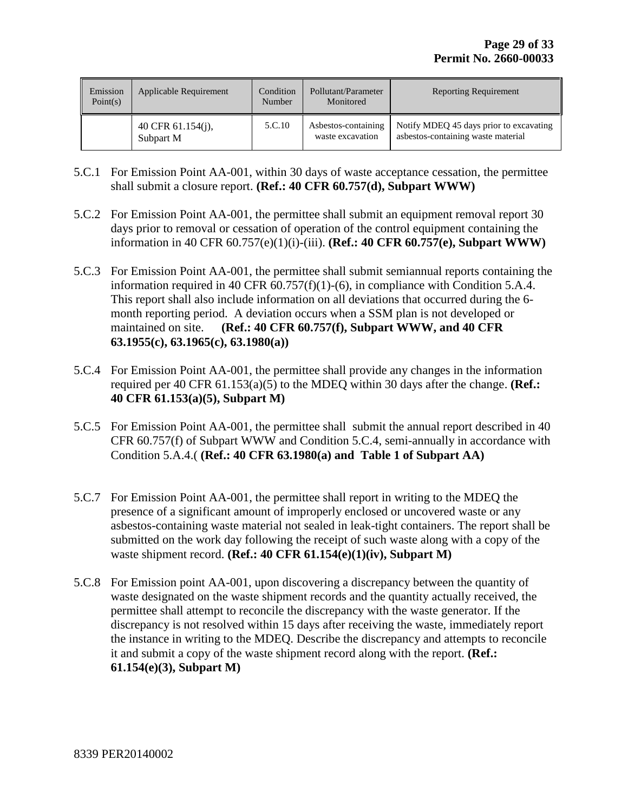| Emission<br>Point(s) | Applicable Requirement         | Condition<br>Number | Pollutant/Parameter<br>Monitored        | <b>Reporting Requirement</b>                                                  |
|----------------------|--------------------------------|---------------------|-----------------------------------------|-------------------------------------------------------------------------------|
|                      | 40 CFR 61.154(j),<br>Subpart M | 5.C.10              | Asbestos-containing<br>waste excavation | Notify MDEQ 45 days prior to excavating<br>asbestos-containing waste material |

- 5.C.1 For Emission Point AA-001, within 30 days of waste acceptance cessation, the permittee shall submit a closure report. **(Ref.: 40 CFR 60.757(d), Subpart WWW)**
- 5.C.2 For Emission Point AA-001, the permittee shall submit an equipment removal report 30 days prior to removal or cessation of operation of the control equipment containing the information in 40 CFR 60.757(e)(1)(i)-(iii). **(Ref.: 40 CFR 60.757(e), Subpart WWW)**
- 5.C.3 For Emission Point AA-001, the permittee shall submit semiannual reports containing the information required in 40 CFR 60.757(f)(1)-(6), in compliance with Condition 5.A.4. This report shall also include information on all deviations that occurred during the 6 month reporting period. A deviation occurs when a SSM plan is not developed or maintained on site. **(Ref.: 40 CFR 60.757(f), Subpart WWW, and 40 CFR 63.1955(c), 63.1965(c), 63.1980(a))**
- 5.C.4 For Emission Point AA-001, the permittee shall provide any changes in the information required per 40 CFR 61.153(a)(5) to the MDEQ within 30 days after the change. **(Ref.: 40 CFR 61.153(a)(5), Subpart M)**
- 5.C.5 For Emission Point AA-001, the permittee shall submit the annual report described in 40 CFR 60.757(f) of Subpart WWW and Condition 5.C.4, semi-annually in accordance with Condition 5.A.4.( **(Ref.: 40 CFR 63.1980(a) and Table 1 of Subpart AA)**
- 5.C.7 For Emission Point AA-001, the permittee shall report in writing to the MDEQ the presence of a significant amount of improperly enclosed or uncovered waste or any asbestos-containing waste material not sealed in leak-tight containers. The report shall be submitted on the work day following the receipt of such waste along with a copy of the waste shipment record. **(Ref.: 40 CFR 61.154(e)(1)(iv), Subpart M)**
- 5.C.8 For Emission point AA-001, upon discovering a discrepancy between the quantity of waste designated on the waste shipment records and the quantity actually received, the permittee shall attempt to reconcile the discrepancy with the waste generator. If the discrepancy is not resolved within 15 days after receiving the waste, immediately report the instance in writing to the MDEQ. Describe the discrepancy and attempts to reconcile it and submit a copy of the waste shipment record along with the report. **(Ref.: 61.154(e)(3), Subpart M)**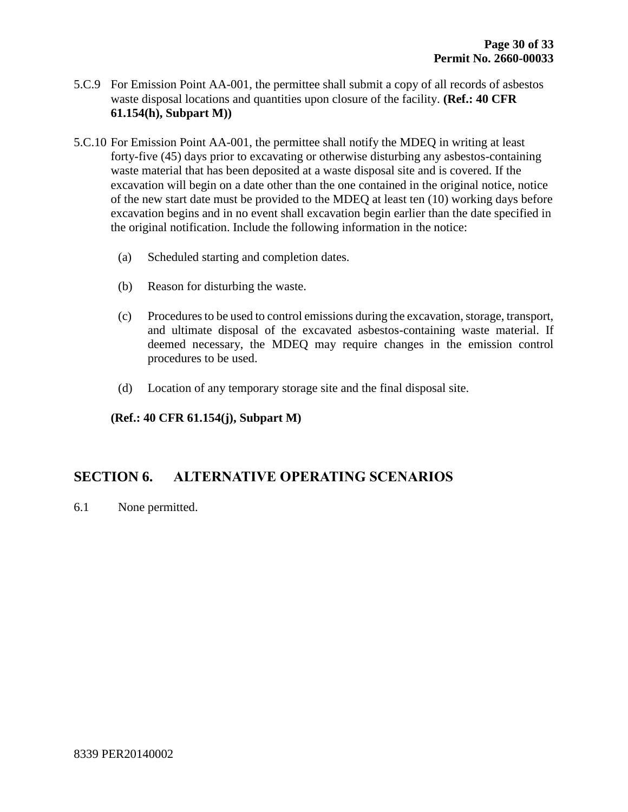- 5.C.9 For Emission Point AA-001, the permittee shall submit a copy of all records of asbestos waste disposal locations and quantities upon closure of the facility. **(Ref.: 40 CFR 61.154(h), Subpart M))**
- 5.C.10 For Emission Point AA-001, the permittee shall notify the MDEQ in writing at least forty-five (45) days prior to excavating or otherwise disturbing any asbestos-containing waste material that has been deposited at a waste disposal site and is covered. If the excavation will begin on a date other than the one contained in the original notice, notice of the new start date must be provided to the MDEQ at least ten (10) working days before excavation begins and in no event shall excavation begin earlier than the date specified in the original notification. Include the following information in the notice:
	- (a) Scheduled starting and completion dates.
	- (b) Reason for disturbing the waste.
	- (c) Procedures to be used to control emissions during the excavation, storage, transport, and ultimate disposal of the excavated asbestos-containing waste material. If deemed necessary, the MDEQ may require changes in the emission control procedures to be used.
	- (d) Location of any temporary storage site and the final disposal site.

**(Ref.: 40 CFR 61.154(j), Subpart M)**

#### **SECTION 6. ALTERNATIVE OPERATING SCENARIOS**

6.1 None permitted.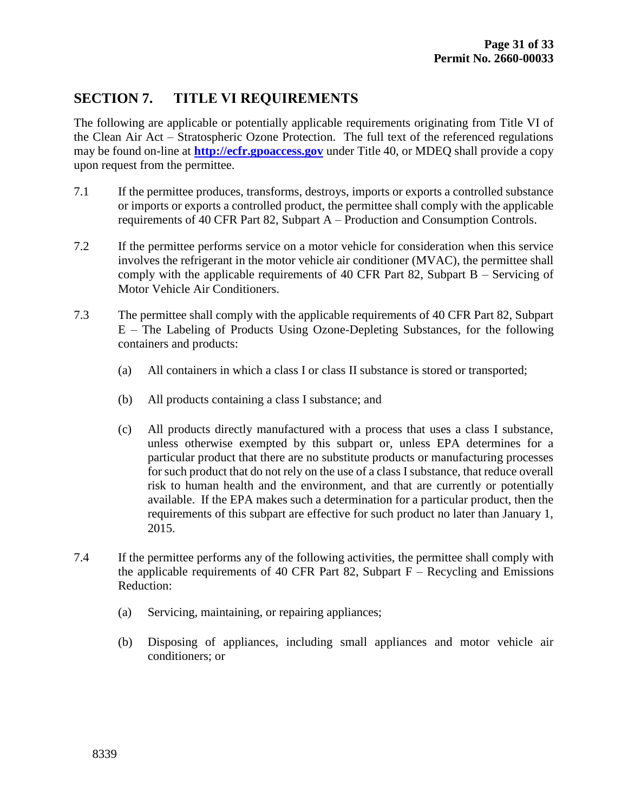## **SECTION 7. TITLE VI REQUIREMENTS**

The following are applicable or potentially applicable requirements originating from Title VI of the Clean Air Act – Stratospheric Ozone Protection. The full text of the referenced regulations may be found on-line at **[http://ecfr.gpoaccess.gov](http://ecfr.gpoaccess.gov/)** under Title 40, or MDEQ shall provide a copy upon request from the permittee.

- 7.1 If the permittee produces, transforms, destroys, imports or exports a controlled substance or imports or exports a controlled product, the permittee shall comply with the applicable requirements of 40 CFR Part 82, Subpart A – Production and Consumption Controls.
- 7.2 If the permittee performs service on a motor vehicle for consideration when this service involves the refrigerant in the motor vehicle air conditioner (MVAC), the permittee shall comply with the applicable requirements of 40 CFR Part 82, Subpart B – Servicing of Motor Vehicle Air Conditioners.
- 7.3 The permittee shall comply with the applicable requirements of 40 CFR Part 82, Subpart E – The Labeling of Products Using Ozone-Depleting Substances, for the following containers and products:
	- (a) All containers in which a class I or class II substance is stored or transported;
	- (b) All products containing a class I substance; and
	- (c) All products directly manufactured with a process that uses a class I substance, unless otherwise exempted by this subpart or, unless EPA determines for a particular product that there are no substitute products or manufacturing processes for such product that do not rely on the use of a class I substance, that reduce overall risk to human health and the environment, and that are currently or potentially available. If the EPA makes such a determination for a particular product, then the requirements of this subpart are effective for such product no later than January 1, 2015.
- 7.4 If the permittee performs any of the following activities, the permittee shall comply with the applicable requirements of 40 CFR Part 82, Subpart  $F -$  Recycling and Emissions Reduction:
	- (a) Servicing, maintaining, or repairing appliances;
	- (b) Disposing of appliances, including small appliances and motor vehicle air conditioners; or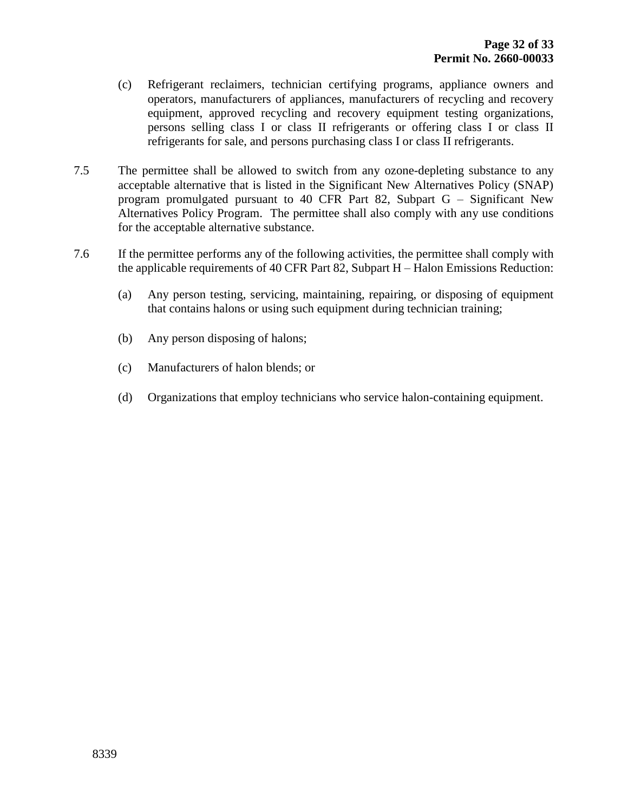- (c) Refrigerant reclaimers, technician certifying programs, appliance owners and operators, manufacturers of appliances, manufacturers of recycling and recovery equipment, approved recycling and recovery equipment testing organizations, persons selling class I or class II refrigerants or offering class I or class II refrigerants for sale, and persons purchasing class I or class II refrigerants.
- 7.5 The permittee shall be allowed to switch from any ozone-depleting substance to any acceptable alternative that is listed in the Significant New Alternatives Policy (SNAP) program promulgated pursuant to 40 CFR Part 82, Subpart G – Significant New Alternatives Policy Program. The permittee shall also comply with any use conditions for the acceptable alternative substance.
- 7.6 If the permittee performs any of the following activities, the permittee shall comply with the applicable requirements of 40 CFR Part 82, Subpart H – Halon Emissions Reduction:
	- (a) Any person testing, servicing, maintaining, repairing, or disposing of equipment that contains halons or using such equipment during technician training;
	- (b) Any person disposing of halons;
	- (c) Manufacturers of halon blends; or
	- (d) Organizations that employ technicians who service halon-containing equipment.